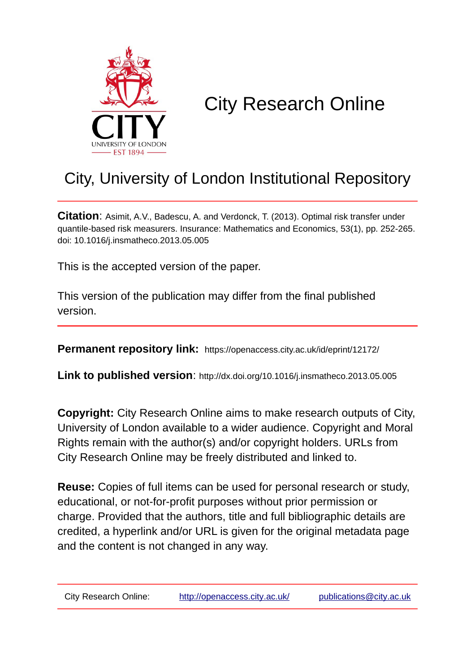

# City Research Online

## City, University of London Institutional Repository

**Citation**: Asimit, A.V., Badescu, A. and Verdonck, T. (2013). Optimal risk transfer under quantile-based risk measurers. Insurance: Mathematics and Economics, 53(1), pp. 252-265. doi: 10.1016/j.insmatheco.2013.05.005

This is the accepted version of the paper.

This version of the publication may differ from the final published version.

**Permanent repository link:** https://openaccess.city.ac.uk/id/eprint/12172/

**Link to published version**: http://dx.doi.org/10.1016/j.insmatheco.2013.05.005

**Copyright:** City Research Online aims to make research outputs of City, University of London available to a wider audience. Copyright and Moral Rights remain with the author(s) and/or copyright holders. URLs from City Research Online may be freely distributed and linked to.

**Reuse:** Copies of full items can be used for personal research or study, educational, or not-for-profit purposes without prior permission or charge. Provided that the authors, title and full bibliographic details are credited, a hyperlink and/or URL is given for the original metadata page and the content is not changed in any way.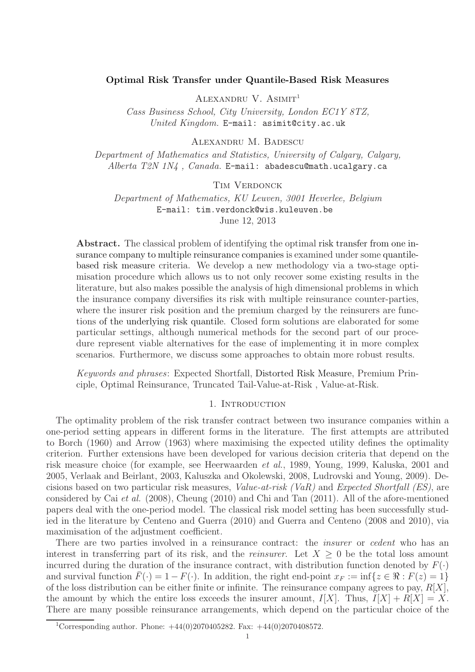#### Optimal Risk Transfer under Quantile-Based Risk Measures

ALEXANDRU V.  $A \text{SIMIT}^1$ 

Cass Business School, City University, London EC1Y 8TZ, United Kingdom. E-mail: asimit@city.ac.uk

Alexandru M. Badescu

Department of Mathematics and Statistics, University of Calgary, Calgary, Alberta T2N  $1N<sub>4</sub>$ , Canada. E-mail: abadescu@math.ucalgary.ca

#### TIM VERDONCK

Department of Mathematics, KU Leuven, 3001 Heverlee, Belgium E-mail: tim.verdonck@wis.kuleuven.be June 12, 2013

Abstract. The classical problem of identifying the optimal risk transfer from one insurance company to multiple reinsurance companies is examined under some quantilebased risk measure criteria. We develop a new methodology via a two-stage optimisation procedure which allows us to not only recover some existing results in the literature, but also makes possible the analysis of high dimensional problems in which the insurance company diversifies its risk with multiple reinsurance counter-parties, where the insurer risk position and the premium charged by the reinsurers are functions of the underlying risk quantile. Closed form solutions are elaborated for some particular settings, although numerical methods for the second part of our procedure represent viable alternatives for the ease of implementing it in more complex scenarios. Furthermore, we discuss some approaches to obtain more robust results.

Keywords and phrases: Expected Shortfall, Distorted Risk Measure, Premium Principle, Optimal Reinsurance, Truncated Tail-Value-at-Risk , Value-at-Risk.

#### 1. INTRODUCTION

The optimality problem of the risk transfer contract between two insurance companies within a one-period setting appears in different forms in the literature. The first attempts are attributed to Borch (1960) and Arrow (1963) where maximising the expected utility defines the optimality criterion. Further extensions have been developed for various decision criteria that depend on the risk measure choice (for example, see Heerwaarden et al., 1989, Young, 1999, Kaluska, 2001 and 2005, Verlaak and Beirlant, 2003, Kaluszka and Okolewski, 2008, Ludrovski and Young, 2009). Decisions based on two particular risk measures, Value-at-risk (VaR) and Expected Shortfall (ES), are considered by Cai et al. (2008), Cheung (2010) and Chi and Tan (2011). All of the afore-mentioned papers deal with the one-period model. The classical risk model setting has been successfully studied in the literature by Centeno and Guerra (2010) and Guerra and Centeno (2008 and 2010), via maximisation of the adjustment coefficient.

There are two parties involved in a reinsurance contract: the *insurer* or *cedent* who has an interest in transferring part of its risk, and the *reinsurer*. Let  $X \geq 0$  be the total loss amount incurred during the duration of the insurance contract, with distribution function denoted by  $F(\cdot)$ and survival function  $\bar{F}(\cdot) = 1 - F(\cdot)$ . In addition, the right end-point  $x_F := \inf\{z \in \Re : F(z) = 1\}$ of the loss distribution can be either finite or infinite. The reinsurance company agrees to pay,  $R[X]$ , the amount by which the entire loss exceeds the insurer amount,  $I[X]$ . Thus,  $I[X] + R[X] = X$ . There are many possible reinsurance arrangements, which depend on the particular choice of the

<sup>&</sup>lt;sup>1</sup>Corresponding author. Phone:  $+44(0)2070405282$ . Fax:  $+44(0)2070408572$ .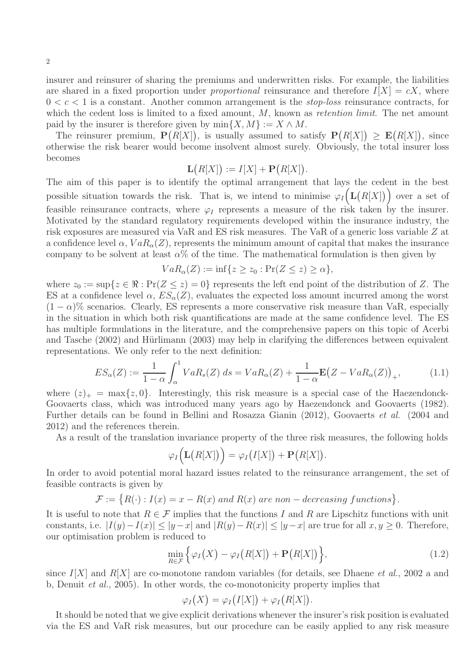insurer and reinsurer of sharing the premiums and underwritten risks. For example, the liabilities are shared in a fixed proportion under *proportional* reinsurance and therefore  $I[X] = cX$ , where  $0 < c < 1$  is a constant. Another common arrangement is the *stop-loss* reinsurance contracts, for which the cedent loss is limited to a fixed amount,  $M$ , known as *retention limit*. The net amount paid by the insurer is therefore given by  $\min\{X, M\} := X \wedge M$ .

The reinsurer premium,  $\mathbf{P}(R[X])$ , is usually assumed to satisfy  $\mathbf{P}(R[X]) \geq \mathbf{E}(R[X])$ , since otherwise the risk bearer would become insolvent almost surely. Obviously, the total insurer loss becomes

$$
\mathbf{L}(R[X]) := I[X] + \mathbf{P}(R[X]).
$$

The aim of this paper is to identify the optimal arrangement that lays the cedent in the best possible situation towards the risk. That is, we intend to minimise  $\varphi_I(L(R[X]))$  over a set of feasible reinsurance contracts, where  $\varphi_I$  represents a measure of the risk taken by the insurer. Motivated by the standard regulatory requirements developed within the insurance industry, the risk exposures are measured via VaR and ES risk measures. The VaR of a generic loss variable Z at a confidence level  $\alpha$ ,  $VaR_{\alpha}(Z)$ , represents the minimum amount of capital that makes the insurance company to be solvent at least  $\alpha$ % of the time. The mathematical formulation is then given by

$$
VaR_{\alpha}(Z):=\inf\{z\geq z_0:\Pr(Z\leq z)\geq\alpha\},\
$$

where  $z_0 := \sup\{z \in \mathbb{R} : \Pr(Z \leq z) = 0\}$  represents the left end point of the distribution of Z. The ES at a confidence level  $\alpha$ ,  $ES_{\alpha}(Z)$ , evaluates the expected loss amount incurred among the worst  $(1 - \alpha)$ % scenarios. Clearly, ES represents a more conservative risk measure than VaR, especially in the situation in which both risk quantifications are made at the same confidence level. The ES has multiple formulations in the literature, and the comprehensive papers on this topic of Acerbi and Tasche (2002) and Hürlimann (2003) may help in clarifying the differences between equivalent representations. We only refer to the next definition:

$$
ES_{\alpha}(Z) := \frac{1}{1-\alpha} \int_{\alpha}^{1} VaR_{s}(Z) ds = VaR_{\alpha}(Z) + \frac{1}{1-\alpha} \mathbf{E}(Z - VaR_{\alpha}(Z))_{+},
$$
(1.1)

where  $(z)_+ = \max\{z, 0\}$ . Interestingly, this risk measure is a special case of the Haezendonck-Goovaerts class, which was introduced many years ago by Haezendonck and Goovaerts (1982). Further details can be found in Bellini and Rosazza Gianin (2012), Goovaerts et al. (2004 and 2012) and the references therein.

As a result of the translation invariance property of the three risk measures, the following holds

$$
\varphi_I\Big(\mathbf{L}\big(R[X]\big)\Big)=\varphi_I\big(I[X]\big)+\mathbf{P}\big(R[X]\big).
$$

In order to avoid potential moral hazard issues related to the reinsurance arrangement, the set of feasible contracts is given by

$$
\mathcal{F} := \{ R(\cdot) : I(x) = x - R(x) \text{ and } R(x) \text{ are non-decreasing functions} \}.
$$

It is useful to note that  $R \in \mathcal{F}$  implies that the functions I and R are Lipschitz functions with unit constants, i.e.  $|I(y)-I(x)| \le |y-x|$  and  $|R(y)-R(x)| \le |y-x|$  are true for all  $x, y \ge 0$ . Therefore, our optimisation problem is reduced to

$$
\min_{R \in \mathcal{F}} \left\{ \varphi_I(X) - \varphi_I(R[X]) + \mathbf{P}(R[X]) \right\},\tag{1.2}
$$

since  $I[X]$  and  $R[X]$  are co-monotone random variables (for details, see Dhaene *et al.*, 2002 a and b, Denuit et al., 2005). In other words, the co-monotonicity property implies that

$$
\varphi_I(X) = \varphi_I(I[X]) + \varphi_I(R[X]).
$$

It should be noted that we give explicit derivations whenever the insurer's risk position is evaluated via the ES and VaR risk measures, but our procedure can be easily applied to any risk measure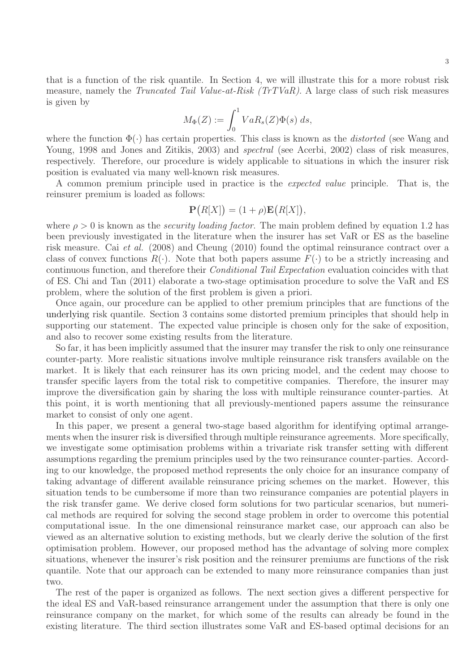3

that is a function of the risk quantile. In Section 4, we will illustrate this for a more robust risk measure, namely the *Truncated Tail Value-at-Risk (TrTVaR)*. A large class of such risk measures is given by

$$
M_{\Phi}(Z) := \int_0^1 VaR_s(Z)\Phi(s) \ ds,
$$

where the function  $\Phi(\cdot)$  has certain properties. This class is known as the *distorted* (see Wang and Young, 1998 and Jones and Zitikis, 2003) and *spectral* (see Acerbi, 2002) class of risk measures, respectively. Therefore, our procedure is widely applicable to situations in which the insurer risk position is evaluated via many well-known risk measures.

A common premium principle used in practice is the expected value principle. That is, the reinsurer premium is loaded as follows:

$$
\mathbf{P}(R[X]) = (1+\rho)\mathbf{E}(R[X]),
$$

where  $\rho > 0$  is known as the *security loading factor*. The main problem defined by equation 1.2 has been previously investigated in the literature when the insurer has set VaR or ES as the baseline risk measure. Cai et al. (2008) and Cheung (2010) found the optimal reinsurance contract over a class of convex functions  $R(\cdot)$ . Note that both papers assume  $F(\cdot)$  to be a strictly increasing and continuous function, and therefore their Conditional Tail Expectation evaluation coincides with that of ES. Chi and Tan (2011) elaborate a two-stage optimisation procedure to solve the VaR and ES problem, where the solution of the first problem is given a priori.

Once again, our procedure can be applied to other premium principles that are functions of the underlying risk quantile. Section 3 contains some distorted premium principles that should help in supporting our statement. The expected value principle is chosen only for the sake of exposition, and also to recover some existing results from the literature.

So far, it has been implicitly assumed that the insurer may transfer the risk to only one reinsurance counter-party. More realistic situations involve multiple reinsurance risk transfers available on the market. It is likely that each reinsurer has its own pricing model, and the cedent may choose to transfer specific layers from the total risk to competitive companies. Therefore, the insurer may improve the diversification gain by sharing the loss with multiple reinsurance counter-parties. At this point, it is worth mentioning that all previously-mentioned papers assume the reinsurance market to consist of only one agent.

In this paper, we present a general two-stage based algorithm for identifying optimal arrangements when the insurer risk is diversified through multiple reinsurance agreements. More specifically, we investigate some optimisation problems within a trivariate risk transfer setting with different assumptions regarding the premium principles used by the two reinsurance counter-parties. According to our knowledge, the proposed method represents the only choice for an insurance company of taking advantage of different available reinsurance pricing schemes on the market. However, this situation tends to be cumbersome if more than two reinsurance companies are potential players in the risk transfer game. We derive closed form solutions for two particular scenarios, but numerical methods are required for solving the second stage problem in order to overcome this potential computational issue. In the one dimensional reinsurance market case, our approach can also be viewed as an alternative solution to existing methods, but we clearly derive the solution of the first optimisation problem. However, our proposed method has the advantage of solving more complex situations, whenever the insurer's risk position and the reinsurer premiums are functions of the risk quantile. Note that our approach can be extended to many more reinsurance companies than just two.

The rest of the paper is organized as follows. The next section gives a different perspective for the ideal ES and VaR-based reinsurance arrangement under the assumption that there is only one reinsurance company on the market, for which some of the results can already be found in the existing literature. The third section illustrates some VaR and ES-based optimal decisions for an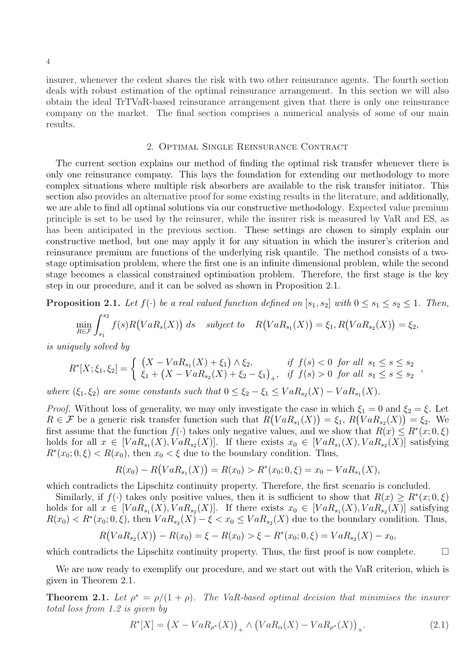insurer, whenever the cedent shares the risk with two other reinsurance agents. The fourth section deals with robust estimation of the optimal reinsurance arrangement. In this section we will also obtain the ideal TrTVaR-based reinsurance arrangement given that there is only one reinsurance company on the market. The final section comprises a numerical analysis of some of our main results.

#### 2. Optimal Single Reinsurance Contract

The current section explains our method of finding the optimal risk transfer whenever there is only one reinsurance company. This lays the foundation for extending our methodology to more complex situations where multiple risk absorbers are available to the risk transfer initiator. This section also provides an alternative proof for some existing results in the literature, and additionally, we are able to find all optimal solutions via our constructive methodology. Expected value premium principle is set to be used by the reinsurer, while the insurer risk is measured by VaR and ES, as has been anticipated in the previous section. These settings are chosen to simply explain our constructive method, but one may apply it for any situation in which the insurer's criterion and reinsurance premium are functions of the underlying risk quantile. The method consists of a twostage optimisation problem, where the first one is an infinite dimensional problem, while the second stage becomes a classical constrained optimisation problem. Therefore, the first stage is the key step in our procedure, and it can be solved as shown in Proposition 2.1.

**Proposition 2.1.** Let  $f(\cdot)$  be a real valued function defined on  $[s_1, s_2]$  with  $0 \le s_1 \le s_2 \le 1$ . Then,

$$
\min_{R \in \mathcal{F}} \int_{s_1}^{s_2} f(s)R\big( VaR_s(X)\big) ds \quad subject \quad R\big( VaR_{s_1}(X)\big) = \xi_1, R\big( VaR_{s_2}(X)\big) = \xi_2,
$$

is uniquely solved by

$$
R^*[X; \xi_1, \xi_2] = \begin{cases} (X - VaR_{s_1}(X) + \xi_1) \wedge \xi_2, & \text{if } f(s) < 0 \text{ for all } s_1 \le s \le s_2 \\ \xi_1 + (X - VaR_{s_2}(X) + \xi_2 - \xi_1)_+, & \text{if } f(s) > 0 \text{ for all } s_1 \le s \le s_2 \end{cases}
$$

where  $(\xi_1, \xi_2)$  are some constants such that  $0 \leq \xi_2 - \xi_1 \leq VaR_{s_2}(X) - VaR_{s_1}(X)$ .

*Proof.* Without loss of generality, we may only investigate the case in which  $\xi_1 = 0$  and  $\xi_2 = \xi$ . Let  $R \in \mathcal{F}$  be a generic risk transfer function such that  $R(VaR_{s_1}(X)) = \xi_1$ ,  $R(VaR_{s_2}(X)) = \xi_2$ . We first assume that the function  $f(\cdot)$  takes only negative values, and we show that  $R(x) \leq R^*(x; 0, \xi)$ holds for all  $x \in [VaR_{s_1}(X), VaR_{s_2}(X)]$ . If there exists  $x_0 \in [VaR_{s_1}(X), VaR_{s_2}(X)]$  satisfying  $R^*(x_0; 0, \xi) < R(x_0)$ , then  $x_0 < \xi$  due to the boundary condition. Thus,

$$
R(x_0) - R(VaR_{s_1}(X)) = R(x_0) > R^*(x_0; 0, \xi) = x_0 - VaR_{s_1}(X),
$$

which contradicts the Lipschitz continuity property. Therefore, the first scenario is concluded.

Similarly, if  $f(\cdot)$  takes only positive values, then it is sufficient to show that  $R(x) \geq R^*(x; 0, \xi)$ holds for all  $x \in [VaR_{s_1}(X), VaR_{s_2}(X)]$ . If there exists  $x_0 \in [VaR_{s_1}(X), VaR_{s_2}(X)]$  satisfying  $R(x_0) < R^*(x_0; 0, \xi)$ , then  $VaR_{s_2}(X) - \xi < x_0 \le VaR_{s_2}(X)$  due to the boundary condition. Thus,

$$
R(VaR_{s_2}(X)) - R(x_0) = \xi - R(x_0) > \xi - R^*(x_0; 0, \xi) = VaR_{s_2}(X) - x_0,
$$

which contradicts the Lipschitz continuity property. Thus, the first proof is now complete.  $\Box$ 

We are now ready to exemplify our procedure, and we start out with the VaR criterion, which is given in Theorem 2.1.

**Theorem 2.1.** Let  $\rho^* = \rho/(1+\rho)$ . The VaR-based optimal decision that minimises the insurer total loss from 1.2 is given by

$$
R^*[X] = (X - VaR_{\rho^*}(X))_+ \wedge (VaR_{\alpha}(X) - VaR_{\rho^*}(X))_+.
$$
\n(2.1)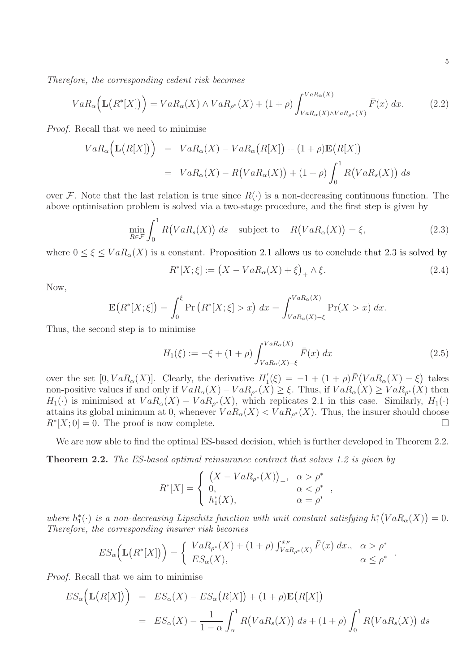Therefore, the corresponding cedent risk becomes

$$
VaR_{\alpha}\Big(\mathbf{L}\big(R^*[X]\big)\Big) = VaR_{\alpha}(X) \wedge VaR_{\rho^*}(X) + (1+\rho) \int_{VaR_{\alpha}(X)\wedge VaR_{\rho^*}(X)}^{VaR_{\alpha}(X)} \bar{F}(x) dx.
$$
 (2.2)

Proof. Recall that we need to minimise

$$
VaR_{\alpha}(\mathbf{L}(R[X])) = VaR_{\alpha}(X) - VaR_{\alpha}(R[X]) + (1+\rho)\mathbf{E}(R[X])
$$
  
=  $VaR_{\alpha}(X) - R(VaR_{\alpha}(X)) + (1+\rho)\int_0^1 R(VaR_s(X)) ds$ 

over F. Note that the last relation is true since  $R(\cdot)$  is a non-decreasing continuous function. The above optimisation problem is solved via a two-stage procedure, and the first step is given by

$$
\min_{R \in \mathcal{F}} \int_0^1 R\big(VaR_s(X)\big) \, ds \quad \text{subject to} \quad R\big(VaR_\alpha(X)\big) = \xi,\tag{2.3}
$$

where  $0 \leq \xi \leq VaR_{\alpha}(X)$  is a constant. Proposition 2.1 allows us to conclude that 2.3 is solved by

$$
R^*[X; \xi] := (X - VaR_{\alpha}(X) + \xi)_+ \wedge \xi.
$$
 (2.4)

Now,

$$
\mathbf{E}\big(R^*[X;\xi]\big) = \int_0^{\xi} \Pr\big(R^*[X;\xi] > x\big) \, dx = \int_{VaR_{\alpha}(X) - \xi}^{VaR_{\alpha}(X)} \Pr(X > x) \, dx.
$$

Thus, the second step is to minimise

$$
H_1(\xi) := -\xi + (1+\rho) \int_{VaR_{\alpha}(X) - \xi}^{VaR_{\alpha}(X)} \bar{F}(x) dx
$$
 (2.5)

,

.

over the set  $[0, VaR_{\alpha}(X)]$ . Clearly, the derivative  $H'_{1}$  $I_1(\xi) = -1 + (1+\rho)\bar{F}(VaR_\alpha(X) - \xi)$  takes non-positive values if and only if  $VaR_{\alpha}(X) - VaR_{\rho^*}(X) \geq \xi$ . Thus, if  $VaR_{\alpha}(X) \geq VaR_{\rho^*}(X)$  then  $H_1(\cdot)$  is minimised at  $VaR_{\alpha}(X) - VaR_{\rho^*}(X)$ , which replicates 2.1 in this case. Similarly,  $H_1(\cdot)$ attains its global minimum at 0, whenever  $VaR_{\alpha}(X) < VaR_{\rho^*}(X)$ . Thus, the insurer should choose  $R^*[X;0]=0.$  The proof is now complete.

We are now able to find the optimal ES-based decision, which is further developed in Theorem 2.2.

Theorem 2.2. The ES-based optimal reinsurance contract that solves 1.2 is given by

$$
R^*[X] = \begin{cases} (X - VaR_{\rho^*}(X))_+, & \alpha > \rho^* \\ 0, & \alpha < \rho^* \\ h_1^*(X), & \alpha = \rho^* \end{cases}
$$

where  $h_1^*(\cdot)$  is a non-decreasing Lipschitz function with unit constant satisfying  $h_1^*(VaR_\alpha(X))=0$ . Therefore, the corresponding insurer risk becomes

$$
ES_{\alpha}\Big(\mathbf{L}\big(R^*[X]\big)\Big) = \begin{cases} VaR_{\rho^*}(X) + (1+\rho) \int_{VaR_{\rho^*}(X)}^{x_F} \bar{F}(x) dx, & \alpha > \rho^* \\ ES_{\alpha}(X), & \alpha \le \rho^* \end{cases}
$$

Proof. Recall that we aim to minimise

$$
ES_{\alpha}\big(\mathbf{L}\big(R[X]\big)\big) = ES_{\alpha}(X) - ES_{\alpha}\big(R[X]\big) + (1+\rho)\mathbf{E}\big(R[X]\big)
$$
  
=  $ES_{\alpha}(X) - \frac{1}{1-\alpha} \int_{\alpha}^{1} R\big(VaR_{s}(X)\big) ds + (1+\rho) \int_{0}^{1} R\big(VaR_{s}(X)\big) ds$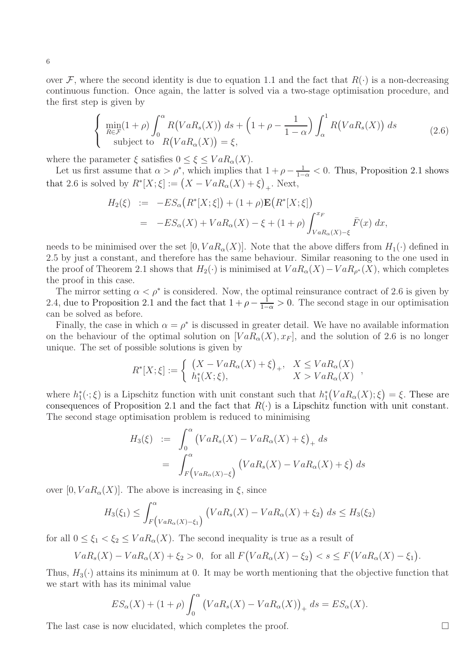over F, where the second identity is due to equation 1.1 and the fact that  $R(\cdot)$  is a non-decreasing continuous function. Once again, the latter is solved via a two-stage optimisation procedure, and the first step is given by

$$
\begin{cases}\n\min_{R \in \mathcal{F}} (1+\rho) \int_0^\alpha R(VaR_s(X)) ds + \left(1+\rho - \frac{1}{1-\alpha}\right) \int_\alpha^1 R(VaR_s(X)) ds \\
\text{subject to } R(VaR_\alpha(X)) = \xi,\n\end{cases}
$$
\n(2.6)

where the parameter  $\xi$  satisfies  $0 \leq \xi \leq VaR_{\alpha}(X)$ .

Let us first assume that  $\alpha > \rho^*$ , which implies that  $1 + \rho - \frac{1}{1-\alpha} < 0$ . Thus, Proposition 2.1 shows that 2.6 is solved by  $R^*[X;\xi] := (X - VaR_{\alpha}(X) + \xi)_+$ . Next,

$$
H_2(\xi) := -ES_{\alpha}(R^*[X;\xi]) + (1+\rho)\mathbf{E}(R^*[X;\xi])
$$
  
= 
$$
-ES_{\alpha}(X) + VaR_{\alpha}(X) - \xi + (1+\rho)\int_{VaR_{\alpha}(X)-\xi}^{x_F} \bar{F}(x) dx,
$$

needs to be minimised over the set  $[0, VaR_{\alpha}(X)]$ . Note that the above differs from  $H_1(\cdot)$  defined in 2.5 by just a constant, and therefore has the same behaviour. Similar reasoning to the one used in the proof of Theorem 2.1 shows that  $H_2(\cdot)$  is minimised at  $VaR_{\alpha}(X) - VaR_{\rho^*}(X)$ , which completes the proof in this case.

The mirror setting  $\alpha < \rho^*$  is considered. Now, the optimal reinsurance contract of 2.6 is given by 2.4, due to Proposition 2.1 and the fact that  $1 + \rho - \frac{1}{1-\alpha} > 0$ . The second stage in our optimisation can be solved as before.

Finally, the case in which  $\alpha = \rho^*$  is discussed in greater detail. We have no available information on the behaviour of the optimal solution on  $[VaR_{\alpha}(X), x_F]$ , and the solution of 2.6 is no longer unique. The set of possible solutions is given by

$$
R^*[X; \xi] := \begin{cases} \left(X - VaR_{\alpha}(X) + \xi\right)_+, & X \le VaR_{\alpha}(X) \\ h_1^*(X; \xi), & X > VaR_{\alpha}(X) \end{cases}
$$

where  $h_1^*(\cdot;\xi)$  is a Lipschitz function with unit constant such that  $h_1^*(VaR_\alpha(X);\xi)=\xi$ . These are consequences of Proposition 2.1 and the fact that  $R(\cdot)$  is a Lipschitz function with unit constant. The second stage optimisation problem is reduced to minimising

$$
H_3(\xi) := \int_0^{\alpha} \left( VaR_s(X) - VaR_{\alpha}(X) + \xi \right)_+ ds
$$
  
= 
$$
\int_F^{\alpha} \left( VaR_s(X) - VaR_{\alpha}(X) + \xi \right) ds
$$

over  $[0, VaR_{\alpha}(X)]$ . The above is increasing in  $\xi$ , since

$$
H_3(\xi_1) \le \int_{F\left(VaR_{\alpha}(X) - \xi_1\right)}^{\alpha} \left(VaR_s(X) - VaR_{\alpha}(X) + \xi_2\right) ds \le H_3(\xi_2)
$$

for all  $0 \leq \xi_1 < \xi_2 \leq VaR_{\alpha}(X)$ . The second inequality is true as a result of

$$
VaRs(X) - VaR\alpha(X) + \xi_2 > 0, \text{ for all } F\big( VaR_{\alpha}(X) - \xi_2 \big) < s \leq F\big( VaR_{\alpha}(X) - \xi_1 \big).
$$

Thus,  $H_3(\cdot)$  attains its minimum at 0. It may be worth mentioning that the objective function that we start with has its minimal value

$$
ES_{\alpha}(X) + (1+\rho) \int_0^{\alpha} \left( VaR_s(X) - VaR_{\alpha}(X) \right)_+ ds = ES_{\alpha}(X).
$$

The last case is now elucidated, which completes the proof.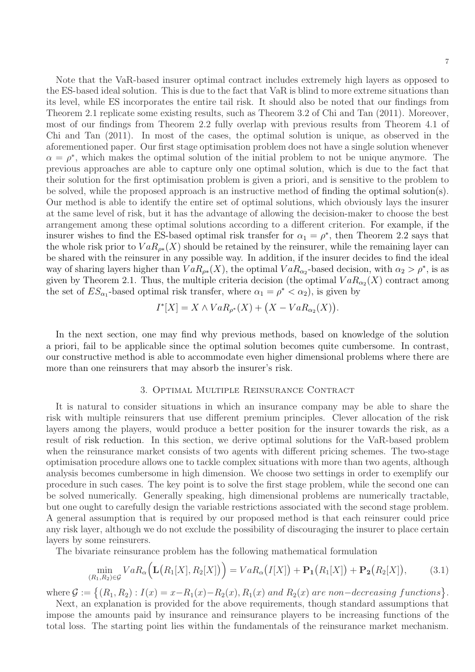Note that the VaR-based insurer optimal contract includes extremely high layers as opposed to the ES-based ideal solution. This is due to the fact that VaR is blind to more extreme situations than its level, while ES incorporates the entire tail risk. It should also be noted that our findings from Theorem 2.1 replicate some existing results, such as Theorem 3.2 of Chi and Tan (2011). Moreover, most of our findings from Theorem 2.2 fully overlap with previous results from Theorem 4.1 of Chi and Tan (2011). In most of the cases, the optimal solution is unique, as observed in the aforementioned paper. Our first stage optimisation problem does not have a single solution whenever  $\alpha = \rho^*$ , which makes the optimal solution of the initial problem to not be unique anymore. The previous approaches are able to capture only one optimal solution, which is due to the fact that their solution for the first optimisation problem is given a priori, and is sensitive to the problem to be solved, while the proposed approach is an instructive method of finding the optimal solution(s). Our method is able to identify the entire set of optimal solutions, which obviously lays the insurer at the same level of risk, but it has the advantage of allowing the decision-maker to choose the best arrangement among these optimal solutions according to a different criterion. For example, if the insurer wishes to find the ES-based optimal risk transfer for  $\alpha_1 = \rho^*$ , then Theorem 2.2 says that the whole risk prior to  $VaR_{\rho*}(X)$  should be retained by the reinsurer, while the remaining layer can be shared with the reinsurer in any possible way. In addition, if the insurer decides to find the ideal way of sharing layers higher than  $VaR_{\rho*}(X)$ , the optimal  $VaR_{\alpha_2}$ -based decision, with  $\alpha_2 > \rho^*$ , is as given by Theorem 2.1. Thus, the multiple criteria decision (the optimal  $VaR_{\alpha_2}(X)$  contract among the set of  $ES_{\alpha_1}$ -based optimal risk transfer, where  $\alpha_1 = \rho^* < \alpha_2$ , is given by

$$
I^*[X] = X \wedge VaR_{\rho^*}(X) + (X - VaR_{\alpha_2}(X)).
$$

In the next section, one may find why previous methods, based on knowledge of the solution a priori, fail to be applicable since the optimal solution becomes quite cumbersome. In contrast, our constructive method is able to accommodate even higher dimensional problems where there are more than one reinsurers that may absorb the insurer's risk.

#### 3. Optimal Multiple Reinsurance Contract

It is natural to consider situations in which an insurance company may be able to share the risk with multiple reinsurers that use different premium principles. Clever allocation of the risk layers among the players, would produce a better position for the insurer towards the risk, as a result of risk reduction. In this section, we derive optimal solutions for the VaR-based problem when the reinsurance market consists of two agents with different pricing schemes. The two-stage optimisation procedure allows one to tackle complex situations with more than two agents, although analysis becomes cumbersome in high dimension. We choose two settings in order to exemplify our procedure in such cases. The key point is to solve the first stage problem, while the second one can be solved numerically. Generally speaking, high dimensional problems are numerically tractable, but one ought to carefully design the variable restrictions associated with the second stage problem. A general assumption that is required by our proposed method is that each reinsurer could price any risk layer, although we do not exclude the possibility of discouraging the insurer to place certain layers by some reinsurers.

The bivariate reinsurance problem has the following mathematical formulation

$$
\min_{(R_1,R_2)\in\mathcal{G}} VaR_{\alpha}\Big(\mathbf{L}\big(R_1[X],R_2[X]\big)\Big) = VaR_{\alpha}\big(I[X]\big) + \mathbf{P}_1\big(R_1[X]\big) + \mathbf{P}_2\big(R_2[X]\big),\tag{3.1}
$$

where  $\mathcal{G} := \{(R_1, R_2) : I(x) = x - R_1(x) - R_2(x), R_1(x) \text{ and } R_2(x) \text{ are non-decreasing functions}\}.$ 

Next, an explanation is provided for the above requirements, though standard assumptions that impose the amounts paid by insurance and reinsurance players to be increasing functions of the total loss. The starting point lies within the fundamentals of the reinsurance market mechanism.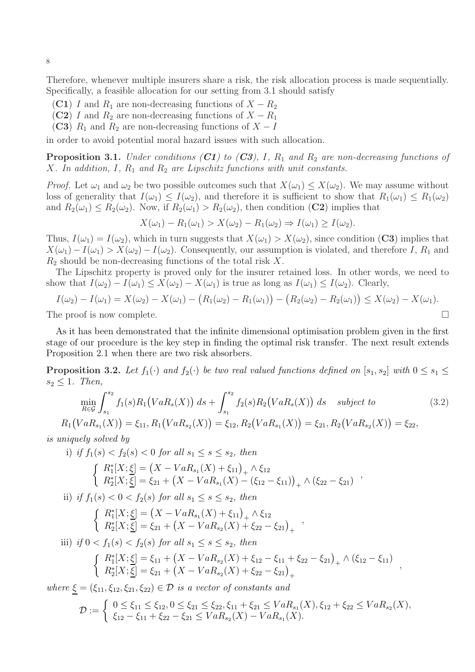Therefore, whenever multiple insurers share a risk, the risk allocation process is made sequentially. Specifically, a feasible allocation for our setting from 3.1 should satisfy

- (C1) I and  $R_1$  are non-decreasing functions of  $X R_2$
- (C2) I and  $R_2$  are non-decreasing functions of  $X R_1$
- (C3)  $R_1$  and  $R_2$  are non-decreasing functions of  $X I$

in order to avoid potential moral hazard issues with such allocation.

**Proposition 3.1.** Under conditions  $(C1)$  to  $(C3)$ , I,  $R_1$  and  $R_2$  are non-decreasing functions of X. In addition, I,  $R_1$  and  $R_2$  are Lipschitz functions with unit constants.

*Proof.* Let  $\omega_1$  and  $\omega_2$  be two possible outcomes such that  $X(\omega_1) \leq X(\omega_2)$ . We may assume without loss of generality that  $I(\omega_1) \leq I(\omega_2)$ , and therefore it is sufficient to show that  $R_1(\omega_1) \leq R_1(\omega_2)$ and  $R_2(\omega_1) \le R_2(\omega_2)$ . Now, if  $R_2(\omega_1) > R_2(\omega_2)$ , then condition (C2) implies that

 $X(\omega_1) - R_1(\omega_1) > X(\omega_2) - R_1(\omega_2) \Rightarrow I(\omega_1) > I(\omega_2).$ 

Thus,  $I(\omega_1) = I(\omega_2)$ , which in turn suggests that  $X(\omega_1) > X(\omega_2)$ , since condition (C3) implies that  $X(\omega_1) - I(\omega_1) > X(\omega_2) - I(\omega_2)$ . Consequently, our assumption is violated, and therefore I, R<sub>1</sub> and  $R_2$  should be non-decreasing functions of the total risk X.

The Lipschitz property is proved only for the insurer retained loss. In other words, we need to show that  $I(\omega_2) - I(\omega_1) \leq X(\omega_2) - X(\omega_1)$  is true as long as  $I(\omega_1) \leq I(\omega_2)$ . Clearly,

$$
I(\omega_2) - I(\omega_1) = X(\omega_2) - X(\omega_1) - (R_1(\omega_2) - R_1(\omega_1)) - (R_2(\omega_2) - R_2(\omega_1)) \le X(\omega_2) - X(\omega_1).
$$
  
The proof is now complete.

As it has been demonstrated that the infinite dimensional optimisation problem given in the first stage of our procedure is the key step in finding the optimal risk transfer. The next result extends Proposition 2.1 when there are two risk absorbers.

**Proposition 3.2.** Let  $f_1(\cdot)$  and  $f_2(\cdot)$  be two real valued functions defined on  $[s_1, s_2]$  with  $0 \le s_1 \le$  $s_2 \leq 1$ . Then,

$$
\min_{R \in \mathcal{G}} \int_{s_1}^{s_2} f_1(s) R_1 \big( VaR_s(X) \big) \, ds + \int_{s_1}^{s_2} f_2(s) R_2 \big( VaR_s(X) \big) \, ds \quad \text{subject to} \tag{3.2}
$$

 $R_1(VaR_{s_1}(X)) = \xi_{11}, R_1(VaR_{s_2}(X)) = \xi_{12}, R_2(VaR_{s_1}(X)) = \xi_{21}, R_2(VaR_{s_2}(X)) = \xi_{22},$ is uniquely solved by

i) if 
$$
f_1(s) < f_2(s) < 0
$$
 for all  $s_1 \le s \le s_2$ , then  
\n
$$
\begin{cases}\nR_1^*[X; \underline{\xi}] = (X - VaR_{s_1}(X) + \xi_{11})_+ \wedge \xi_{12} \\
R_2^*[X; \underline{\xi}] = \xi_{21} + (X - VaR_{s_1}(X) - (\xi_{12} - \xi_{11}))_+ \wedge (\xi_{22} - \xi_{21})\n\end{cases}
$$
\nii) if  $f_1(s) < 0 < f_2(s)$  for all  $s_1 \le s \le s_2$ , then  
\n
$$
\begin{cases}\nR_1^*[X; \underline{\xi}] = (X - VaR_{s_1}(X) + \xi_{11})_+ \wedge \xi_{12} \\
R_2^*[X; \underline{\xi}] = \xi_{21} + (X - VaR_{s_2}(X) + \xi_{22} - \xi_{21})_+ \\
\end{cases}
$$
\niii) if  $0 < f_1(s) < f_2(s)$  for all  $s_1 \le s \le s_2$ , then  
\n
$$
\begin{cases}\nR_1^*[X; \underline{\xi}] = \xi_{11} + (X - VaR_{s_2}(X) + \xi_{12} - \xi_{11} + \xi_{22} - \xi_{21})_+ \wedge (\xi_{12} - \xi_{11}) \\
R_2^*[X; \underline{\xi}] = \xi_{21} + (X - VaR_{s_2}(X) + \xi_{22} - \xi_{21})_+ \n\end{cases}
$$

where  $\xi = (\xi_{11}, \xi_{12}, \xi_{21}, \xi_{22}) \in \mathcal{D}$  is a vector of constants and

$$
\mathcal{D} := \begin{cases} 0 \leq \xi_{11} \leq \xi_{12}, 0 \leq \xi_{21} \leq \xi_{22}, \xi_{11} + \xi_{21} \leq VaR_{s_1}(X), \xi_{12} + \xi_{22} \leq VaR_{s_2}(X), \\ \xi_{12} - \xi_{11} + \xi_{22} - \xi_{21} \leq VaR_{s_2}(X) - VaR_{s_1}(X). \end{cases}
$$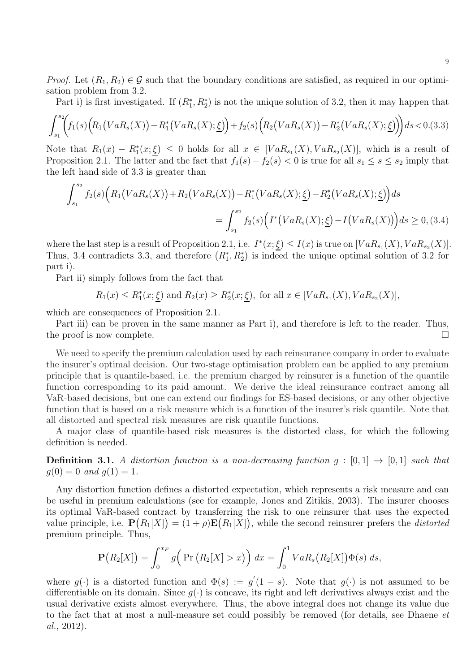*Proof.* Let  $(R_1, R_2) \in \mathcal{G}$  such that the boundary conditions are satisfied, as required in our optimisation problem from 3.2.

Part i) is first investigated. If  $(R_1^*, R_2^*)$  is not the unique solution of 3.2, then it may happen that

$$
\int_{s_1}^{s_2} \left( f_1(s) \left( R_1 \left( VaR_s(X) \right) - R_1^* \left( VaR_s(X); \underline{\xi} \right) \right) + f_2(s) \left( R_2 \left( VaR_s(X) \right) - R_2^* \left( VaR_s(X); \underline{\xi} \right) \right) \right) ds < 0. (3.3)
$$

Note that  $R_1(x) - R_1^*(x; \underline{\xi}) \leq 0$  holds for all  $x \in [VaR_{s_1}(X), VaR_{s_2}(X)]$ , which is a result of Proposition 2.1. The latter and the fact that  $f_1(s) - f_2(s) < 0$  is true for all  $s_1 \le s \le s_2$  imply that the left hand side of 3.3 is greater than

$$
\int_{s_1}^{s_2} f_2(s) \Big( R_1(VaR_s(X)) + R_2(VaR_s(X)) - R_1^*(VaR_s(X); \underline{\xi}) - R_2^*(VaR_s(X); \underline{\xi}) \Big) ds
$$
  
= 
$$
\int_{s_1}^{s_2} f_2(s) \Big( I^*(VaR_s(X); \underline{\xi}) - I(VaR_s(X)) \Big) ds \ge 0, (3.4)
$$

where the last step is a result of Proposition 2.1, i.e.  $I^*(x;\xi) \leq I(x)$  is true on  $[VaR_{s_1}(X), VaR_{s_2}(X)].$ Thus, 3.4 contradicts 3.3, and therefore  $(R_1^*, R_2^*)$  is indeed the unique optimal solution of 3.2 for part i).

Part ii) simply follows from the fact that

$$
R_1(x) \le R_1^*(x; \underline{\xi})
$$
 and  $R_2(x) \ge R_2^*(x; \underline{\xi})$ , for all  $x \in [VaR_{s_1}(X), VaR_{s_2}(X)]$ ,

which are consequences of Proposition 2.1.

Part iii) can be proven in the same manner as Part i), and therefore is left to the reader. Thus, the proof is now complete.  $\Box$ 

We need to specify the premium calculation used by each reinsurance company in order to evaluate the insurer's optimal decision. Our two-stage optimisation problem can be applied to any premium principle that is quantile-based, i.e. the premium charged by reinsurer is a function of the quantile function corresponding to its paid amount. We derive the ideal reinsurance contract among all VaR-based decisions, but one can extend our findings for ES-based decisions, or any other objective function that is based on a risk measure which is a function of the insurer's risk quantile. Note that all distorted and spectral risk measures are risk quantile functions.

A major class of quantile-based risk measures is the distorted class, for which the following definition is needed.

**Definition 3.1.** A distortion function is a non-decreasing function  $g : [0,1] \rightarrow [0,1]$  such that  $g(0) = 0$  and  $g(1) = 1$ .

Any distortion function defines a distorted expectation, which represents a risk measure and can be useful in premium calculations (see for example, Jones and Zitikis, 2003). The insurer chooses its optimal VaR-based contract by transferring the risk to one reinsurer that uses the expected value principle, i.e.  $\mathbf{P}(R_1[X]) = (1+\rho)\mathbf{E}(R_1[X])$ , while the second reinsurer prefers the *distorted* premium principle. Thus,

$$
\mathbf{P}(R_2[X]) = \int_0^{x_F} g\Big(\Pr\big(R_2[X] > x\big)\Big) dx = \int_0^1 VaR_s\big(R_2[X]\big)\Phi(s) ds,
$$

where  $g(\cdot)$  is a distorted function and  $\Phi(s) := g'(1-s)$ . Note that  $g(\cdot)$  is not assumed to be differentiable on its domain. Since  $g(\cdot)$  is concave, its right and left derivatives always exist and the usual derivative exists almost everywhere. Thus, the above integral does not change its value due to the fact that at most a null-measure set could possibly be removed (for details, see Dhaene et al., 2012).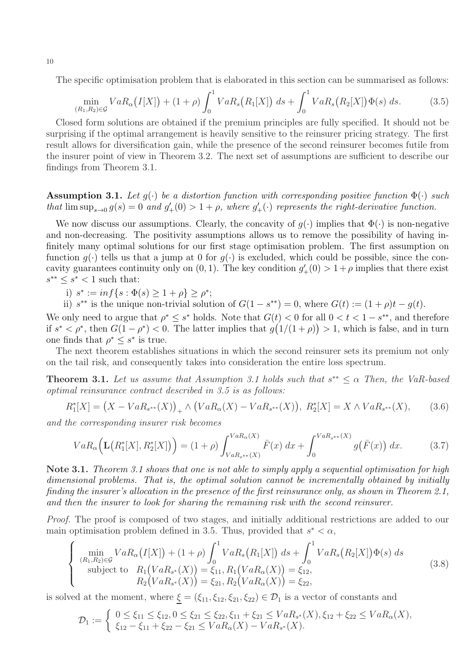The specific optimisation problem that is elaborated in this section can be summarised as follows:

$$
\min_{(R_1, R_2) \in \mathcal{G}} VaR_{\alpha}(I[X]) + (1+\rho) \int_0^1 VaR_s(R_1[X]) ds + \int_0^1 VaR_s(R_2[X])\Phi(s) ds.
$$
 (3.5)

Closed form solutions are obtained if the premium principles are fully specified. It should not be surprising if the optimal arrangement is heavily sensitive to the reinsurer pricing strategy. The first result allows for diversification gain, while the presence of the second reinsurer becomes futile from the insurer point of view in Theorem 3.2. The next set of assumptions are sufficient to describe our findings from Theorem 3.1.

### **Assumption 3.1.** Let  $g(\cdot)$  be a distortion function with corresponding positive function  $\Phi(\cdot)$  such that  $\limsup_{s\to 0} g(s) = 0$  and  $g'_{+}(0) > 1 + \rho$ , where  $g'_{+}(\cdot)$  represents the right-derivative function.

We now discuss our assumptions. Clearly, the concavity of  $q(\cdot)$  implies that  $\Phi(\cdot)$  is non-negative and non-decreasing. The positivity assumptions allows us to remove the possibility of having infinitely many optimal solutions for our first stage optimisation problem. The first assumption on function  $q(\cdot)$  tells us that a jump at 0 for  $q(\cdot)$  is excluded, which could be possible, since the concavity guarantees continuity only on  $(0, 1)$ . The key condition  $g'_{+}(0) > 1 + \rho$  implies that there exist  $s^{**} \leq s^* < 1$  such that:

i)  $s^* := \inf\{s : \Phi(s) \geq 1 + \rho\} \geq \rho^*;$ 

ii)  $s^{**}$  is the unique non-trivial solution of  $G(1-s^{**})=0$ , where  $G(t) := (1+\rho)t - g(t)$ .

We only need to argue that  $\rho^* \leq s^*$  holds. Note that  $G(t) < 0$  for all  $0 < t < 1-s^{**}$ , and therefore if  $s^* < \rho^*$ , then  $G(1-\rho^*) < 0$ . The latter implies that  $g(1/(1+\rho)) > 1$ , which is false, and in turn one finds that  $\rho^* \leq s^*$  is true.

The next theorem establishes situations in which the second reinsurer sets its premium not only on the tail risk, and consequently takes into consideration the entire loss spectrum.

**Theorem 3.1.** Let us assume that Assumption 3.1 holds such that  $s^{**} \leq \alpha$  Then, the VaR-based optimal reinsurance contract described in 3.5 is as follows:

$$
R_1^*[X] = (X - VaR_{s^{**}}(X))_+ \wedge (VaR_{\alpha}(X) - VaR_{s^{**}}(X)), R_2^*[X] = X \wedge VaR_{s^{**}}(X),
$$
 (3.6)

and the corresponding insurer risk becomes

$$
VaR_{\alpha}\Big(\mathbf{L}\big(R_1^*[X], R_2^*[X]\big)\Big) = (1+\rho)\int_{VaR_{s^{**}}(X)}^{VaR_{\alpha}(X)} \bar{F}(x) \,dx + \int_0^{VaR_{s^{**}}(X)} g\big(\bar{F}(x)\big) \,dx. \tag{3.7}
$$

Note 3.1. Theorem 3.1 shows that one is not able to simply apply a sequential optimisation for high dimensional problems. That is, the optimal solution cannot be incrementally obtained by initially finding the insurer's allocation in the presence of the first reinsurance only, as shown in Theorem 2.1, and then the insurer to look for sharing the remaining risk with the second reinsurer.

Proof. The proof is composed of two stages, and initially additional restrictions are added to our main optimisation problem defined in 3.5. Thus, provided that  $s^* < \alpha$ ,

$$
\begin{cases}\n\min_{(R_1, R_2) \in \mathcal{G}} VaR_{\alpha}(I[X]) + (1 + \rho) \int_0^1 VaR_s(R_1[X]) ds + \int_0^1 VaR_s(R_2[X])\Phi(s) ds \\
\text{subject to} \quad R_1(VaR_{s^*}(X)) = \xi_{11}, R_1(VaR_{\alpha}(X)) = \xi_{12}, \\
R_2(VaR_{s^*}(X)) = \xi_{21}, R_2(VaR_{\alpha}(X)) = \xi_{22},\n\end{cases}
$$
\n(3.8)

is solved at the moment, where  $\xi = (\xi_{11}, \xi_{12}, \xi_{21}, \xi_{22}) \in \mathcal{D}_1$  is a vector of constants and

$$
\mathcal{D}_1 := \begin{cases} 0 \le \xi_{11} \le \xi_{12}, 0 \le \xi_{21} \le \xi_{22}, \xi_{11} + \xi_{21} \le VaR_{s^*}(X), \xi_{12} + \xi_{22} \le VaR_{\alpha}(X), \\ \xi_{12} - \xi_{11} + \xi_{22} - \xi_{21} \le VaR_{\alpha}(X) - VaR_{s^*}(X). \end{cases}
$$

10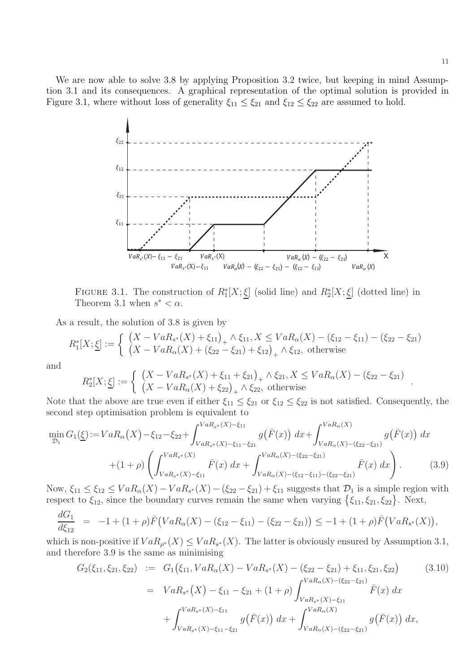We are now able to solve 3.8 by applying Proposition 3.2 twice, but keeping in mind Assumption 3.1 and its consequences. A graphical representation of the optimal solution is provided in Figure 3.1, where without loss of generality  $\xi_{11} \leq \xi_{21}$  and  $\xi_{12} \leq \xi_{22}$  are assumed to hold.



FIGURE 3.1. The construction of  $R_1^*[X; \underline{\xi}]$  (solid line) and  $R_2^*[X; \underline{\xi}]$  (dotted line) in Theorem 3.1 when  $s^* < \alpha$ .

As a result, the solution of 3.8 is given by

$$
R_1^*[X; \underline{\xi}] := \begin{cases} (X - VaR_{s^*}(X) + \xi_{11})_+ \wedge \xi_{11}, X \le VaR_{\alpha}(X) - (\xi_{12} - \xi_{11}) - (\xi_{22} - \xi_{21}) \\ (X - VaR_{\alpha}(X) + (\xi_{22} - \xi_{21}) + \xi_{12})_+ \wedge \xi_{12}, \text{ otherwise} \end{cases}
$$

and

$$
R_2^*[X; \underline{\xi}] := \left\{ \begin{array}{l} (X - VaR_{s^*}(X) + \xi_{11} + \xi_{21})_+ \wedge \xi_{21}, X \le VaR_{\alpha}(X) - (\xi_{22} - \xi_{21}) \\ (X - VaR_{\alpha}(X) + \xi_{22})_+ \wedge \xi_{22}, \text{ otherwise} \end{array} \right. .
$$

Note that the above are true even if either  $\xi_{11} \leq \xi_{21}$  or  $\xi_{12} \leq \xi_{22}$  is not satisfied. Consequently, the second step optimisation problem is equivalent to

$$
\min_{\mathcal{D}_1} G_1(\underline{\xi}) := V a R_{\alpha}(X) - \xi_{12} - \xi_{22} + \int_{VaR_{s^*}(X) - \xi_{11}}^{VaR_{s^*}(X) - \xi_{11}} g(\bar{F}(x)) dx + \int_{VaR_{\alpha}(X) - (\xi_{22} - \xi_{21})}^{VaR_{\alpha}(X)} g(\bar{F}(x)) dx
$$
  
+ 
$$
(1 + \rho) \left( \int_{VaR_{s^*}(X) - \xi_{11}}^{VaR_{s^*}(X)} \bar{F}(x) dx + \int_{VaR_{\alpha}(X) - (\xi_{12} - \xi_{11}) - (\xi_{22} - \xi_{21})}^{VaR_{\alpha}(X)} \bar{F}(x) dx \right).
$$
(3.9)

Now,  $\xi_{11} \leq \xi_{12} \leq VaR_{\alpha}(X) - VaR_{s^*}(X) - (\xi_{22} - \xi_{21}) + \xi_{11}$  suggests that  $\mathcal{D}_1$  is a simple region with respect to  $\xi_{12}$ , since the boundary curves remain the same when varying  $\{\xi_{11}, \xi_{21}, \xi_{22}\}\.$  Next,

$$
\frac{dG_1}{d\xi_{12}} = -1 + (1+\rho)\bar{F}(VaR_{\alpha}(X) - (\xi_{12} - \xi_{11}) - (\xi_{22} - \xi_{21})) \leq -1 + (1+\rho)\bar{F}(VaR_{s^*}(X)),
$$

which is non-positive if  $VaR_{\rho^*}(X) \leq VaR_{s^*}(X)$ . The latter is obviously ensured by Assumption 3.1, and therefore 3.9 is the same as minimising

$$
G_2(\xi_{11}, \xi_{21}, \xi_{22}) := G_1(\xi_{11}, VaR_{\alpha}(X) - VaR_{s^*}(X) - (\xi_{22} - \xi_{21}) + \xi_{11}, \xi_{21}, \xi_{22}) \qquad (3.10)
$$
  
=  $VaR_{s^*}(X) - \xi_{11} - \xi_{21} + (1 + \rho) \int_{VaR_{s^*}(X) - \xi_{11}}^{VaR_{\alpha}(X) - (\xi_{22} - \xi_{21})} \bar{F}(x) dx$   
+  $\int_{VaR_{s^*}(X) - \xi_{11}}^{VaR_{s^*}(X) - \xi_{11}} g(\bar{F}(x)) dx + \int_{VaR_{\alpha}(X) - (\xi_{22} - \xi_{21})}^{VaR_{\alpha}(X)} g(\bar{F}(x)) dx,$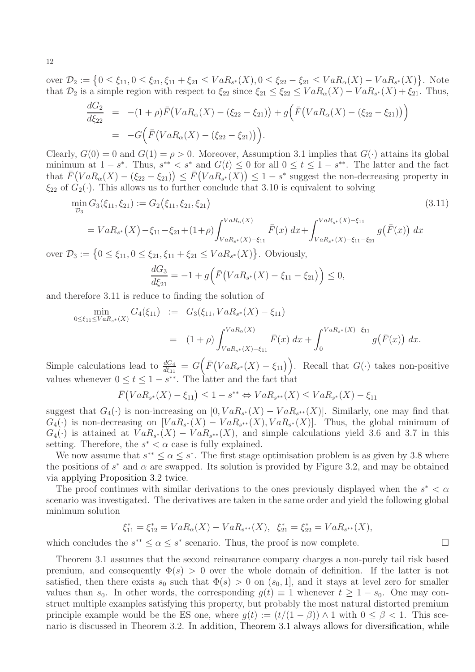over  $\mathcal{D}_2 := \{0 \leq \xi_{11}, 0 \leq \xi_{21}, \xi_{11} + \xi_{21} \leq VaR_{s^*}(X), 0 \leq \xi_{22} - \xi_{21} \leq VaR_{\alpha}(X) - VaR_{s^*}(X)\}.$  Note that  $\mathcal{D}_2$  is a simple region with respect to  $\xi_{22}$  since  $\xi_{21} \leq \xi_{22} \leq VaR_{\alpha}(X) - VaR_{s^*}(X) + \xi_{21}$ . Thus,

$$
\frac{dG_2}{d\xi_{22}} = -(1+\rho)\bar{F}(VaR_{\alpha}(X) - (\xi_{22} - \xi_{21})) + g(\bar{F}(VaR_{\alpha}(X) - (\xi_{22} - \xi_{21})) )
$$
  
= -G(\bar{F}(VaR\_{\alpha}(X) - (\xi\_{22} - \xi\_{21}))).

Clearly,  $G(0) = 0$  and  $G(1) = \rho > 0$ . Moreover, Assumption 3.1 implies that  $G(\cdot)$  attains its global minimum at  $1-s^*$ . Thus,  $s^{**} < s^*$  and  $G(t) \leq 0$  for all  $0 \leq t \leq 1-s^{**}$ . The latter and the fact that  $\bar{F}(VaR_{\alpha}(X) - (\xi_{22} - \xi_{21})) \leq \bar{F}(VaR_{s^*}(X)) \leq 1 - s^*$  suggest the non-decreasing property in  $\xi_{22}$  of  $G_2(\cdot)$ . This allows us to further conclude that 3.10 is equivalent to solving

$$
\min_{\mathcal{D}_3} G_3(\xi_{11}, \xi_{21}) := G_2(\xi_{11}, \xi_{21}, \xi_{21})
$$
\n(3.11)

$$
= VaR_{s^*}(X) - \xi_{11} - \xi_{21} + (1+\rho) \int_{VaR_{s^*}(X) - \xi_{11}}^{VaR_{\alpha}(X)} \bar{F}(x) dx + \int_{VaR_{s^*}(X) - \xi_{11} - \xi_{21}}^{VaR_{s^*}(X) - \xi_{11}} g(\bar{F}(x)) dx
$$

over  $\mathcal{D}_3 := \{0 \le \xi_{11}, 0 \le \xi_{21}, \xi_{11} + \xi_{21} \le VaR_{s^*}(X)\}\.$  Obviously,

$$
\frac{dG_3}{d\xi_{21}} = -1 + g\Big(\bar{F}\big(VaR_{s^*}(X) - \xi_{11} - \xi_{21}\big)\Big) \le 0,
$$

and therefore 3.11 is reduce to finding the solution of

$$
\begin{array}{rcl}\n\min_{0 \le \xi_{11} \le VaR_{s^*}(X)} G_4(\xi_{11}) & := & G_3(\xi_{11}, VaR_{s^*}(X) - \xi_{11}) \\
& = & (1 + \rho) \int_{VaR_{s^*}(X) - \xi_{11}}^{VaR_{\alpha}(X)} \bar{F}(x) \, dx + \int_0^{VaR_{s^*}(X) - \xi_{11}} g(\bar{F}(x)) \, dx.\n\end{array}
$$

Simple calculations lead to  $\frac{dG_4}{d\xi_{11}} = G(F(VaR_{s^*}(X) - \xi_{11}))$ . Recall that  $G(\cdot)$  takes non-positive values whenever  $0 \le t \le 1 - s^{**}$ . The latter and the fact that

$$
\bar{F}(VaR_{s^*}(X) - \xi_{11}) \le 1 - s^{**} \Leftrightarrow VaR_{s^{**}}(X) \le VaR_{s^*}(X) - \xi_{11}
$$

suggest that  $G_4(\cdot)$  is non-increasing on  $[0, VaR_{s^*}(X) - VaR_{s^{**}}(X)]$ . Similarly, one may find that  $G_4(\cdot)$  is non-decreasing on  $[VaR_{s^*}(X) - VaR_{s^{**}}(X), VaR_{s^*}(X)]$ . Thus, the global minimum of  $G_4(\cdot)$  is attained at  $VaR_{s^*}(X) - VaR_{s^{**}}(X)$ , and simple calculations yield 3.6 and 3.7 in this setting. Therefore, the  $s^* < \alpha$  case is fully explained.

We now assume that  $s^{**} \leq \alpha \leq s^*$ . The first stage optimisation problem is as given by 3.8 where the positions of  $s^*$  and  $\alpha$  are swapped. Its solution is provided by Figure 3.2, and may be obtained via applying Proposition 3.2 twice.

The proof continues with similar derivations to the ones previously displayed when the  $s^* < \alpha$ scenario was investigated. The derivatives are taken in the same order and yield the following global minimum solution

$$
\xi_{11}^* = \xi_{12}^* = VaR_{\alpha}(X) - VaR_{s^{**}}(X), \ \ \xi_{21}^* = \xi_{22}^* = VaR_{s^{**}}(X),
$$

which concludes the  $s^{**} \leq \alpha \leq s^*$  scenario. Thus, the proof is now complete.

Theorem 3.1 assumes that the second reinsurance company charges a non-purely tail risk based premium, and consequently  $\Phi(s) > 0$  over the whole domain of definition. If the latter is not satisfied, then there exists  $s_0$  such that  $\Phi(s) > 0$  on  $(s_0, 1]$ , and it stays at level zero for smaller values than  $s_0$ . In other words, the corresponding  $g(t) \equiv 1$  whenever  $t \geq 1 - s_0$ . One may construct multiple examples satisfying this property, but probably the most natural distorted premium principle example would be the ES one, where  $g(t) := (t/(1 - \beta)) \wedge 1$  with  $0 \le \beta < 1$ . This scenario is discussed in Theorem 3.2. In addition, Theorem 3.1 always allows for diversification, while

12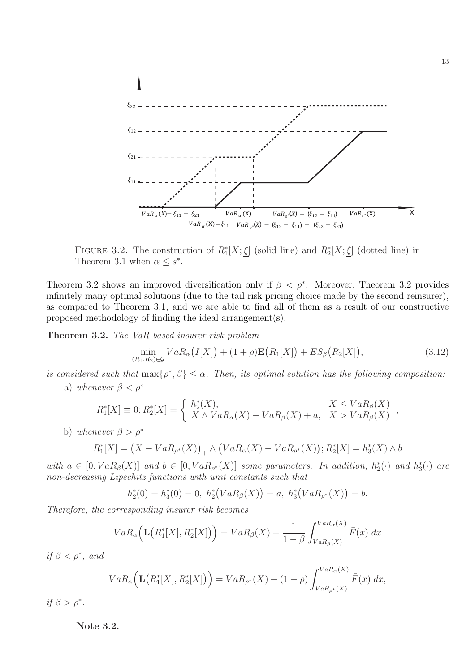

FIGURE 3.2. The construction of  $R_1^*[X; \underline{\xi}]$  (solid line) and  $R_2^*[X; \underline{\xi}]$  (dotted line) in Theorem 3.1 when  $\alpha \leq s^*$ .

Theorem 3.2 shows an improved diversification only if  $\beta < \rho^*$ . Moreover, Theorem 3.2 provides infinitely many optimal solutions (due to the tail risk pricing choice made by the second reinsurer), as compared to Theorem 3.1, and we are able to find all of them as a result of our constructive proposed methodology of finding the ideal arrangement(s).

Theorem 3.2. The VaR-based insurer risk problem

$$
\min_{(R_1, R_2) \in \mathcal{G}} VaR_{\alpha}(I[X]) + (1+\rho)\mathbf{E}(R_1[X]) + ES_{\beta}(R_2[X]),
$$
\n(3.12)

is considered such that  $\max\{\rho^*,\beta\} \leq \alpha$ . Then, its optimal solution has the following composition:

a) whenever  $\beta < \rho^*$ 

$$
R_1^*[X] \equiv 0; R_2^*[X] = \begin{cases} h_2^*(X), & X \leq VaR_\beta(X) \\ X \wedge VaR_\alpha(X) - VaR_\beta(X) + a, & X > VaR_\beta(X) \end{cases}
$$

b) whenever  $\beta > \rho^*$ 

$$
R_1^*[X] = (X - VaR_{\rho^*}(X))_+ \wedge (VaR_{\alpha}(X) - VaR_{\rho^*}(X)); R_2^*[X] = h_3^*(X) \wedge b
$$

with  $a \in [0, VaR_{\beta}(X)]$  and  $b \in [0, VaR_{\rho^*}(X)]$  some parameters. In addition,  $h_2^*(\cdot)$  and  $h_3^*(\cdot)$  are non-decreasing Lipschitz functions with unit constants such that

$$
h_2^*(0) = h_3^*(0) = 0, \ h_2^*\big( VaR_\beta(X)\big) = a, \ h_3^*\big( VaR_{\rho^*}(X)\big) = b.
$$

Therefore, the corresponding insurer risk becomes

$$
VaR_{\alpha}\Big(\mathbf{L}\big(R_1^*[X], R_2^*[X]\big)\Big) = VaR_{\beta}(X) + \frac{1}{1-\beta} \int_{VaR_{\beta}(X)}^{VaR_{\alpha}(X)} \bar{F}(x) dx
$$

if  $\beta < \rho^*$ , and

$$
VaR_{\alpha}\Big(\mathbf{L}\big(R_1^*[X], R_2^*[X]\big)\Big) = VaR_{\rho^*}(X) + (1+\rho)\int_{VaR_{\rho^*}(X)}^{VaR_{\alpha}(X)} \bar{F}(x) \, dx,
$$

if  $\beta > \rho^*$ .

Note 3.2.

,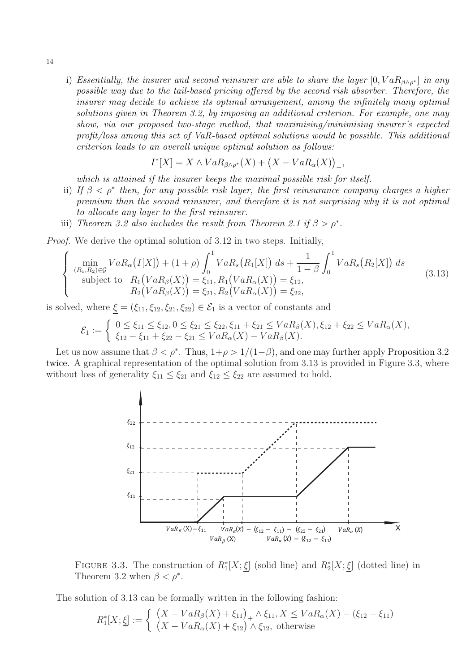i) Essentially, the insurer and second reinsurer are able to share the layer  $[0, VaR_{\beta\wedge\rho^*}]$  in any possible way due to the tail-based pricing offered by the second risk absorber. Therefore, the insurer may decide to achieve its optimal arrangement, among the infinitely many optimal solutions given in Theorem 3.2, by imposing an additional criterion. For example, one may show, via our proposed two-stage method, that maximising/minimising insurer's expected profit/loss among this set of VaR-based optimal solutions would be possible. This additional criterion leads to an overall unique optimal solution as follows:

$$
I^*[X] = X \wedge VaR_{\beta \wedge \rho^*}(X) + (X - VaR_{\alpha}(X))_+,
$$

which is attained if the insurer keeps the maximal possible risk for itself.

- ii) If  $\beta < \rho^*$  then, for any possible risk layer, the first reinsurance company charges a higher premium than the second reinsurer, and therefore it is not surprising why it is not optimal to allocate any layer to the first reinsurer.
- iii) Theorem 3.2 also includes the result from Theorem 2.1 if  $\beta > \rho^*$ .

Proof. We derive the optimal solution of 3.12 in two steps. Initially,

$$
\begin{cases}\n\min_{(R_1, R_2) \in \mathcal{G}} VaR_{\alpha}(I[X]) + (1 + \rho) \int_0^1 VaR_s(R_1[X]) ds + \frac{1}{1 - \beta} \int_0^1 VaR_s(R_2[X]) ds \\
\text{subject to} \quad R_1(VaR_{\beta}(X)) = \xi_{11}, R_1(VaR_{\alpha}(X)) = \xi_{12}, \\
R_2(VaR_{\beta}(X)) = \xi_{21}, R_2(VaR_{\alpha}(X)) = \xi_{22},\n\end{cases}
$$
\n(3.13)

is solved, where  $\underline{\xi} = (\xi_{11}, \xi_{12}, \xi_{21}, \xi_{22}) \in \mathcal{E}_1$  is a vector of constants and

$$
\mathcal{E}_1 := \left\{ \begin{array}{l} 0 \leq \xi_{11} \leq \xi_{12}, 0 \leq \xi_{21} \leq \xi_{22}, \xi_{11} + \xi_{21} \leq VaR_{\beta}(X), \xi_{12} + \xi_{22} \leq VaR_{\alpha}(X), \\ \xi_{12} - \xi_{11} + \xi_{22} - \xi_{21} \leq VaR_{\alpha}(X) - VaR_{\beta}(X). \end{array} \right.
$$

Let us now assume that  $\beta < \rho^*$ . Thus,  $1+\rho > 1/(1-\beta)$ , and one may further apply Proposition 3.2 twice. A graphical representation of the optimal solution from 3.13 is provided in Figure 3.3, where without loss of generality  $\xi_{11} \leq \xi_{21}$  and  $\xi_{12} \leq \xi_{22}$  are assumed to hold.



FIGURE 3.3. The construction of  $R_1^*[X; \underline{\xi}]$  (solid line) and  $R_2^*[X; \underline{\xi}]$  (dotted line) in Theorem 3.2 when  $\beta < \rho^*$ .

The solution of 3.13 can be formally written in the following fashion:

$$
R_1^*[X; \underline{\xi}] := \begin{cases} (X - VaR_{\beta}(X) + \xi_{11})_+ \wedge \xi_{11}, X \le VaR_{\alpha}(X) - (\xi_{12} - \xi_{11}) \\ (X - VaR_{\alpha}(X) + \xi_{12}) \wedge \xi_{12}, \text{ otherwise} \end{cases}
$$

14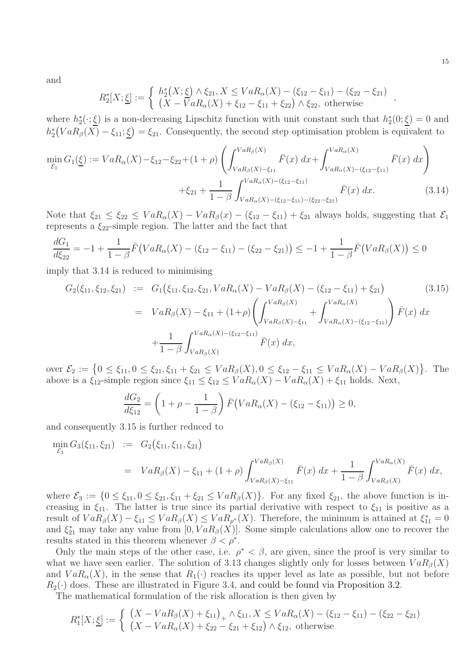and

$$
R_2^*[X; \underline{\xi}] := \begin{cases} h_2^*(X; \underline{\xi}) \wedge \xi_{21}, X \leq VaR_{\alpha}(X) - (\xi_{12} - \xi_{11}) - (\xi_{22} - \xi_{21}) \\ (X - VaR_{\alpha}(X) + \xi_{12} - \xi_{11} + \xi_{22}) \wedge \xi_{22}, \text{ otherwise} \end{cases}
$$

where  $h_2^*(\cdot;\underline{\xi})$  is a non-decreasing Lipschitz function with unit constant such that  $h_2^*(0;\underline{\xi})=0$  and  $h_2^*(VaR_\beta(X)-\xi_{11};\underline{\xi})=\xi_{21}$ . Consequently, the second step optimisation problem is equivalent to

$$
\min_{\mathcal{E}_1} G_1(\underline{\xi}) := V a R_{\alpha}(X) - \xi_{12} - \xi_{22} + (1+\rho) \left( \int_{VaR_{\beta}(X) - \xi_{11}}^{VaR_{\beta}(X)} \bar{F}(x) dx + \int_{VaR_{\alpha}(X) - (\xi_{12} - \xi_{11})}^{VaR_{\alpha}(X)} \bar{F}(x) dx \right) \n+ \xi_{21} + \frac{1}{1-\beta} \int_{VaR_{\alpha}(X) - (\xi_{12} - \xi_{11}) - (\xi_{22} - \xi_{21})}^{VaR_{\alpha}(X)} \bar{F}(x) dx.
$$
\n(3.14)

Note that  $\xi_{21} \leq \xi_{22} \leq VaR_{\alpha}(X) - VaR_{\beta}(x) - (\xi_{12} - \xi_{11}) + \xi_{21}$  always holds, suggesting that  $\mathcal{E}_1$ represents a  $\xi_{22}$ -simple region. The latter and the fact that

$$
\frac{dG_1}{d\xi_{22}} = -1 + \frac{1}{1-\beta}\bar{F}\big(VaR_{\alpha}(X) - (\xi_{12} - \xi_{11}) - (\xi_{22} - \xi_{21})\big) \le -1 + \frac{1}{1-\beta}\bar{F}\big(VaR_{\beta}(X)\big) \le 0
$$

imply that 3.14 is reduced to minimising

$$
G_2(\xi_{11}, \xi_{12}, \xi_{21}) := G_1(\xi_{11}, \xi_{12}, \xi_{21}, VaR_{\alpha}(X) - VaR_{\beta}(X) - (\xi_{12} - \xi_{11}) + \xi_{21})
$$
(3.15)  

$$
= VaR_{\beta}(X) - \xi_{11} + (1+\rho) \left( \int_{VaR_{\beta}(X) - \xi_{11}}^{VaR_{\beta}(X)} + \int_{VaR_{\alpha}(X) - (\xi_{12} - \xi_{11})}^{VaR_{\alpha}(X)} \right) \bar{F}(x) dx
$$

$$
+ \frac{1}{1-\beta} \int_{VaR_{\beta}(X)}^{VaR_{\alpha}(X) - (\xi_{12} - \xi_{11})} \bar{F}(x) dx,
$$

over  $\mathcal{E}_2 := \left\{ 0 \le \xi_{11}, 0 \le \xi_{21}, \xi_{11} + \xi_{21} \le VaR_{\beta}(X), 0 \le \xi_{12} - \xi_{11} \le VaR_{\alpha}(X) - VaR_{\beta}(X) \right\}$ . The above is a  $\xi_{12}$ -simple region since  $\xi_{11} \leq \xi_{12} \leq VaR_{\alpha}(X) - VaR_{\alpha}(X) + \xi_{11}$  holds. Next,

$$
\frac{dG_2}{d\xi_{12}} = \left(1 + \rho - \frac{1}{1 - \beta}\right)\bar{F}\left(VaR_{\alpha}(X) - (\xi_{12} - \xi_{11})\right) \ge 0,
$$

and consequently 3.15 is further reduced to

$$
\begin{array}{rcl}\n\min_{\mathcal{E}_3} G_3(\xi_{11}, \xi_{21}) & := & G_2(\xi_{11}, \xi_{11}, \xi_{21}) \\
& = & VaR_\beta(X) - \xi_{11} + (1+\rho) \int_{VaR_\beta(X) - \xi_{11}}^{VaR_\beta(X)} \bar{F}(x) \, dx + \frac{1}{1-\beta} \int_{VaR_\beta(X)}^{VaR_\alpha(X)} \bar{F}(x) \, dx,\n\end{array}
$$

where  $\mathcal{E}_3 := \{0 \leq \xi_{11}, 0 \leq \xi_{21}, \xi_{11} + \xi_{21} \leq VaR_{\beta}(X)\}\.$  For any fixed  $\xi_{21}$ , the above function is increasing in  $\xi_{11}$ . The latter is true since its partial derivative with respect to  $\xi_{11}$  is positive as a result of  $VaR_{\beta}(X) - \xi_{11} \leq VaR_{\beta}(X) \leq VaR_{\rho^*}(X)$ . Therefore, the minimum is attained at  $\xi_{11}^* = 0$ and  $\xi_{21}^*$  may take any value from  $[0, VaR_\beta(X)]$ . Some simple calculations allow one to recover the results stated in this theorem whenever  $\beta < \rho^*$ .

Only the main steps of the other case, i.e.  $\rho^* < \beta$ , are given, since the proof is very similar to what we have seen earlier. The solution of 3.13 changes slightly only for losses between  $VaR<sub>\beta</sub>(X)$ and  $VaR_{\alpha}(X)$ , in the sense that  $R_1(\cdot)$  reaches its upper level as late as possible, but not before  $R_2(\cdot)$  does. These are illustrated in Figure 3.4, and could be found via Proposition 3.2.

The mathematical formulation of the risk allocation is then given by

$$
R_1^*[X; \underline{\xi}] := \begin{cases} (X - VaR_{\beta}(X) + \xi_{11})_+ \wedge \xi_{11}, X \le VaR_{\alpha}(X) - (\xi_{12} - \xi_{11}) - (\xi_{22} - \xi_{21}) \\ (X - VaR_{\alpha}(X) + \xi_{22} - \xi_{21} + \xi_{12}) \wedge \xi_{12}, \text{ otherwise} \end{cases}
$$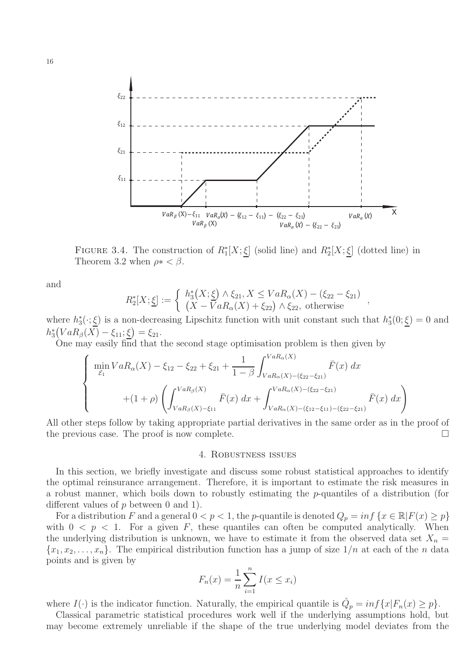

FIGURE 3.4. The construction of  $R_1^*[X; \underline{\xi}]$  (solid line) and  $R_2^*[X; \underline{\xi}]$  (dotted line) in Theorem 3.2 when  $\rho * < \beta$ .

and

$$
R_2^*[X; \underline{\xi}] := \left\{ \begin{array}{l} h_3^*(X; \underline{\xi}) \wedge \xi_{21}, X \leq VaR_{\alpha}(X) - (\xi_{22} - \xi_{21}) \\ (X - VaR_{\alpha}(X) + \xi_{22}) \wedge \xi_{22}, \text{ otherwise} \end{array} \right.,
$$

where  $h_3^*(\cdot;\underline{\xi})$  is a non-decreasing Lipschitz function with unit constant such that  $h_3^*(0;\underline{\xi})=0$  and  $h_3^*(VaR_\beta(X) - \xi_{11}; \underline{\xi}) = \xi_{21}.$ 

One may easily find that the second stage optimisation problem is then given by

$$
\begin{cases}\n\min_{\mathcal{E}_1} VaR_{\alpha}(X) - \xi_{12} - \xi_{22} + \xi_{21} + \frac{1}{1-\beta} \int_{VaR_{\alpha}(X) - (\xi_{22} - \xi_{21})}^{VaR_{\alpha}(X)} \bar{F}(x) dx \\
+ (1+\rho) \left( \int_{VaR_{\beta}(X) - \xi_{11}}^{VaR_{\beta}(X)} \bar{F}(x) dx + \int_{VaR_{\alpha}(X) - (\xi_{12} - \xi_{11}) - (\xi_{22} - \xi_{21})}^{VaR_{\alpha}(X)} \bar{F}(x) dx \right)\n\end{cases}
$$

All other steps follow by taking appropriate partial derivatives in the same order as in the proof of the previous case. The proof is now complete.

#### 4. Robustness issues

In this section, we briefly investigate and discuss some robust statistical approaches to identify the optimal reinsurance arrangement. Therefore, it is important to estimate the risk measures in a robust manner, which boils down to robustly estimating the p-quantiles of a distribution (for different values of  $p$  between 0 and 1).

For a distribution F and a general  $0 < p < 1$ , the p-quantile is denoted  $Q_p = inf \{x \in \mathbb{R} | F(x) \geq p\}$ with  $0 < p < 1$ . For a given F, these quantiles can often be computed analytically. When the underlying distribution is unknown, we have to estimate it from the observed data set  $X_n =$  ${x_1, x_2, \ldots, x_n}$ . The empirical distribution function has a jump of size  $1/n$  at each of the *n* data points and is given by

$$
F_n(x) = \frac{1}{n} \sum_{i=1}^n I(x \le x_i)
$$

where  $I(\cdot)$  is the indicator function. Naturally, the empirical quantile is  $\hat{Q}_p = inf\{x | F_n(x) \ge p\}.$ 

Classical parametric statistical procedures work well if the underlying assumptions hold, but may become extremely unreliable if the shape of the true underlying model deviates from the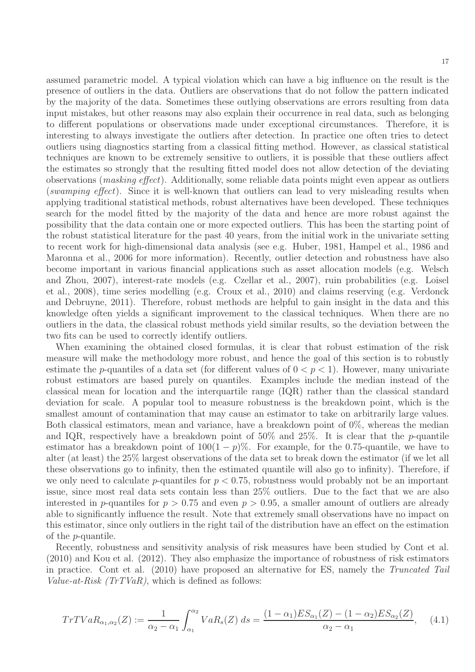assumed parametric model. A typical violation which can have a big influence on the result is the presence of outliers in the data. Outliers are observations that do not follow the pattern indicated by the majority of the data. Sometimes these outlying observations are errors resulting from data input mistakes, but other reasons may also explain their occurrence in real data, such as belonging to different populations or observations made under exceptional circumstances. Therefore, it is interesting to always investigate the outliers after detection. In practice one often tries to detect outliers using diagnostics starting from a classical fitting method. However, as classical statistical techniques are known to be extremely sensitive to outliers, it is possible that these outliers affect the estimates so strongly that the resulting fitted model does not allow detection of the deviating observations (masking effect). Additionally, some reliable data points might even appear as outliers (swamping effect). Since it is well-known that outliers can lead to very misleading results when applying traditional statistical methods, robust alternatives have been developed. These techniques search for the model fitted by the majority of the data and hence are more robust against the possibility that the data contain one or more expected outliers. This has been the starting point of the robust statistical literature for the past 40 years, from the initial work in the univariate setting to recent work for high-dimensional data analysis (see e.g. Huber, 1981, Hampel et al., 1986 and Maronna et al., 2006 for more information). Recently, outlier detection and robustness have also become important in various financial applications such as asset allocation models (e.g. Welsch and Zhou, 2007), interest-rate models (e.g. Czellar et al., 2007), ruin probabilities (e.g. Loisel et al., 2008), time series modelling (e.g. Croux et al., 2010) and claims reserving (e.g. Verdonck and Debruyne, 2011). Therefore, robust methods are helpful to gain insight in the data and this knowledge often yields a significant improvement to the classical techniques. When there are no outliers in the data, the classical robust methods yield similar results, so the deviation between the two fits can be used to correctly identify outliers.

When examining the obtained closed formulas, it is clear that robust estimation of the risk measure will make the methodology more robust, and hence the goal of this section is to robustly estimate the *p*-quantiles of a data set (for different values of  $0 < p < 1$ ). However, many univariate robust estimators are based purely on quantiles. Examples include the median instead of the classical mean for location and the interquartile range (IQR) rather than the classical standard deviation for scale. A popular tool to measure robustness is the breakdown point, which is the smallest amount of contamination that may cause an estimator to take on arbitrarily large values. Both classical estimators, mean and variance, have a breakdown point of 0%, whereas the median and IQR, respectively have a breakdown point of  $50\%$  and  $25\%$ . It is clear that the p-quantile estimator has a breakdown point of  $100(1 - p)\%$ . For example, for the 0.75-quantile, we have to alter (at least) the 25% largest observations of the data set to break down the estimator (if we let all these observations go to infinity, then the estimated quantile will also go to infinity). Therefore, if we only need to calculate p-quantiles for  $p < 0.75$ , robustness would probably not be an important issue, since most real data sets contain less than 25% outliers. Due to the fact that we are also interested in p-quantiles for  $p > 0.75$  and even  $p > 0.95$ , a smaller amount of outliers are already able to significantly influence the result. Note that extremely small observations have no impact on this estimator, since only outliers in the right tail of the distribution have an effect on the estimation of the p-quantile.

Recently, robustness and sensitivity analysis of risk measures have been studied by Cont et al. (2010) and Kou et al. (2012). They also emphasize the importance of robustness of risk estimators in practice. Cont et al. (2010) have proposed an alternative for ES, namely the Truncated Tail Value-at-Risk  $(TrTVaR)$ , which is defined as follows:

$$
TrTVaR_{\alpha_1,\alpha_2}(Z) := \frac{1}{\alpha_2 - \alpha_1} \int_{\alpha_1}^{\alpha_2} VaR_s(Z) \, ds = \frac{(1 - \alpha_1)ES_{\alpha_1}(Z) - (1 - \alpha_2)ES_{\alpha_2}(Z)}{\alpha_2 - \alpha_1},\tag{4.1}
$$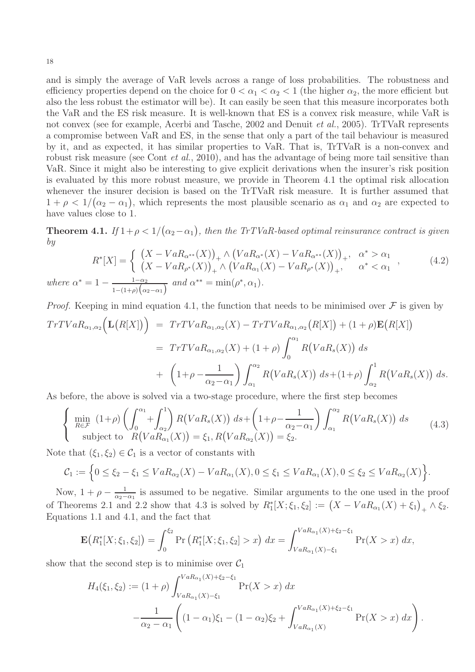and is simply the average of VaR levels across a range of loss probabilities. The robustness and efficiency properties depend on the choice for  $0 < \alpha_1 < \alpha_2 < 1$  (the higher  $\alpha_2$ , the more efficient but also the less robust the estimator will be). It can easily be seen that this measure incorporates both the VaR and the ES risk measure. It is well-known that ES is a convex risk measure, while VaR is not convex (see for example, Acerbi and Tasche, 2002 and Denuit *et al.*, 2005). TrTVaR represents a compromise between VaR and ES, in the sense that only a part of the tail behaviour is measured by it, and as expected, it has similar properties to VaR. That is, TrTVaR is a non-convex and robust risk measure (see Cont *et al.*, 2010), and has the advantage of being more tail sensitive than VaR. Since it might also be interesting to give explicit derivations when the insurer's risk position is evaluated by this more robust measure, we provide in Theorem 4.1 the optimal risk allocation whenever the insurer decision is based on the TrTVaR risk measure. It is further assumed that  $1 + \rho < 1/(\alpha_2 - \alpha_1)$ , which represents the most plausible scenario as  $\alpha_1$  and  $\alpha_2$  are expected to have values close to 1.

**Theorem 4.1.** If  $1 + \rho < 1/(\alpha_2 - \alpha_1)$ , then the TrTVaR-based optimal reinsurance contract is given by

$$
R^*[X] = \begin{cases} (X - VaR_{\alpha^{**}}(X))_+ \wedge (VaR_{\alpha^*}(X) - VaR_{\alpha^{**}}(X))_+, & \alpha^* > \alpha_1 \\ (X - VaR_{\rho^*}(X))_+ \wedge (VaR_{\alpha_1}(X) - VaR_{\rho^*}(X))_+, & \alpha^* < \alpha_1 \end{cases},
$$
\n(4.2)  
\nwhere  $\alpha^* = 1 - \frac{1-\alpha_2}{1-(1+\rho)(\alpha_2-\alpha_1)}$  and  $\alpha^{**} = \min(\rho^*, \alpha_1)$ .

*Proof.* Keeping in mind equation 4.1, the function that needs to be minimised over 
$$
\mathcal{F}
$$
 is given by  
\n
$$
TrTVaR_{\alpha_1,\alpha_2} \Big( \mathbf{L}(R[X]) \Big) = TrTVaR_{\alpha_1,\alpha_2}(X) - TrTVaR_{\alpha_1,\alpha_2}(R[X]) + (1+\rho)\mathbf{E}(R[X])
$$
\n
$$
= TrTVaR_{\alpha_1,\alpha_2}(X) + (1+\rho)\int_0^{\alpha_1} R(VaR_s(X)) ds
$$
\n
$$
+ \left(1+\rho-\frac{1}{\alpha_2-\alpha_1}\right)\int_{\alpha_1}^{\alpha_2} R(VaR_s(X)) ds + (1+\rho)\int_{\alpha_2}^1 R(VaR_s(X)) ds.
$$

As before, the above is solved via a two-stage procedure, where the first step becomes

$$
\begin{cases}\n\min_{R \in \mathcal{F}} (1+\rho) \left( \int_0^{\alpha_1} + \int_{\alpha_2}^1 \right) R\left( VaR_s(X) \right) ds + \left( 1+\rho - \frac{1}{\alpha_2 - \alpha_1} \right) \int_{\alpha_1}^{\alpha_2} R\left( VaR_s(X) \right) ds \\
\text{subject to } R\left( VaR_{\alpha_1}(X) \right) = \xi_1, R\left( VaR_{\alpha_2}(X) \right) = \xi_2.\n\end{cases}
$$
\n(4.3)

Note that  $(\xi_1, \xi_2) \in C_1$  is a vector of constants with

$$
C_1 := \Big\{ 0 \le \xi_2 - \xi_1 \le VaR_{\alpha_2}(X) - VaR_{\alpha_1}(X), 0 \le \xi_1 \le VaR_{\alpha_1}(X), 0 \le \xi_2 \le VaR_{\alpha_2}(X) \Big\}.
$$

Now,  $1 + \rho - \frac{1}{\alpha^2}$  $\frac{1}{\alpha_2-\alpha_1}$  is assumed to be negative. Similar arguments to the one used in the proof of Theorems 2.1 and 2.2 show that 4.3 is solved by  $R_1^*[X; \xi_1, \xi_2] := (X - VaR_{\alpha_1}(X) + \xi_1)_+ \wedge \xi_2$ . Equations 1.1 and 4.1, and the fact that

$$
\mathbf{E}\big(R_1^*[X;\xi_1,\xi_2]\big) = \int_0^{\xi_2} \Pr\big(R_1^*[X;\xi_1,\xi_2] > x\big) \, dx = \int_{VaR_{\alpha_1}(X)-\xi_1}^{VaR_{\alpha_1}(X)+\xi_2-\xi_1} \Pr(X > x) \, dx,
$$

show that the second step is to minimise over  $C_1$ 

$$
H_4(\xi_1, \xi_2) := (1+\rho) \int_{VaR_{\alpha_1}(X) - \xi_1}^{VaR_{\alpha_1}(X) + \xi_2 - \xi_1} \Pr(X > x) dx
$$
  
 
$$
-\frac{1}{\alpha_2 - \alpha_1} \left( (1-\alpha_1)\xi_1 - (1-\alpha_2)\xi_2 + \int_{VaR_{\alpha_1}(X)}^{VaR_{\alpha_1}(X) + \xi_2 - \xi_1} \Pr(X > x) dx \right).
$$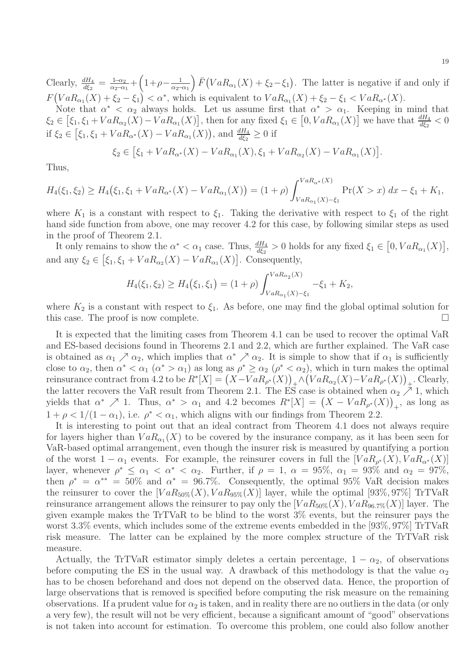Clearly,  $\frac{dH_4}{d\xi_2} = \frac{1-\alpha_2}{\alpha_2-\alpha_1}$  $\frac{1-\alpha_2}{\alpha_2-\alpha_1} + \left(1+\rho-\frac{1}{\alpha_2-}\right)$  $\frac{1}{\alpha_2-\alpha_1}$   $\bar{F}(VaR_{\alpha_1}(X) + \xi_2-\xi_1)$ . The latter is negative if and only if  $F\big( VaR_{\alpha_1}(X) + \xi_2 - \xi_1 \big) < \alpha^*$ , which is equivalent to  $VaR_{\alpha_1}(X) + \xi_2 - \xi_1 < VaR_{\alpha^*}(X)$ .

Note that  $\alpha^* < \alpha_2$  always holds. Let us assume first that  $\alpha^* > \alpha_1$ . Keeping in mind that  $\xi_2 \in [\xi_1, \xi_1 + VaR_{\alpha_2}(X) - VaR_{\alpha_1}(X)],$  then for any fixed  $\xi_1 \in [0, VaR_{\alpha_1}(X)]$  we have that  $\frac{dH_4}{d\xi_2} < 0$ if  $\xi_2 \in [\xi_1, \xi_1 + VaR_{\alpha^*}(X) - VaR_{\alpha_1}(X)],$  and  $\frac{dH_4}{d\xi_2} \ge 0$  if

$$
\xi_2 \in [\xi_1 + VaR_{\alpha^*}(X) - VaR_{\alpha_1}(X), \xi_1 + VaR_{\alpha_2}(X) - VaR_{\alpha_1}(X)].
$$

Thus,

$$
H_4(\xi_1, \xi_2) \ge H_4(\xi_1, \xi_1 + VaR_{\alpha^*}(X) - VaR_{\alpha_1}(X)) = (1+\rho) \int_{VaR_{\alpha_1}(X) - \xi_1}^{VaR_{\alpha^*}(X)} \Pr(X > x) dx - \xi_1 + K_1,
$$

where  $K_1$  is a constant with respect to  $\xi_1$ . Taking the derivative with respect to  $\xi_1$  of the right hand side function from above, one may recover 4.2 for this case, by following similar steps as used in the proof of Theorem 2.1.

It only remains to show the  $\alpha^* < \alpha_1$  case. Thus,  $\frac{dH_4}{d\xi_2} > 0$  holds for any fixed  $\xi_1 \in [0, VaR_{\alpha_1}(X)],$ and any  $\xi_2 \in [\xi_1, \xi_1 + VaR_{\alpha_2}(X) - VaR_{\alpha_1}(X)]$ . Consequently,

$$
H_4(\xi_1, \xi_2) \ge H_4(\xi_1, \xi_1) = (1+\rho) \int_{VaR_{\alpha_1}(X) - \xi_1}^{VaR_{\alpha_2}(X)} -\xi_1 + K_2,
$$

where  $K_2$  is a constant with respect to  $\xi_1$ . As before, one may find the global optimal solution for this case. The proof is now complete.

It is expected that the limiting cases from Theorem 4.1 can be used to recover the optimal VaR and ES-based decisions found in Theorems 2.1 and 2.2, which are further explained. The VaR case is obtained as  $\alpha_1 \nearrow \alpha_2$ , which implies that  $\alpha^* \nearrow \alpha_2$ . It is simple to show that if  $\alpha_1$  is sufficiently close to  $\alpha_2$ , then  $\alpha^* < \alpha_1$  ( $\alpha^* > \alpha_1$ ) as long as  $\rho^* \ge \alpha_2$  ( $\rho^* < \alpha_2$ ), which in turn makes the optimal reinsurance contract from 4.2 to be  $R^*[X] = (X - VaR_{\rho^*}(X))_+ \wedge (VaR_{\alpha_2}(X) - VaR_{\rho^*}(X))_+$ . Clearly, the latter recovers the VaR result from Theorem 2.1. The ES case is obtained when  $\alpha_2 \nearrow 1$ , which yields that  $\alpha^* \nearrow 1$ . Thus,  $\alpha^* > \alpha_1$  and 4.2 becomes  $R^*[X] = (X - VaR_{\rho^*}(X))_+$ , as long as  $1 + \rho < 1/(1 - \alpha_1)$ , i.e.  $\rho^* < \alpha_1$ , which aligns with our findings from Theorem 2.2.

It is interesting to point out that an ideal contract from Theorem 4.1 does not always require for layers higher than  $VaR_{\alpha_1}(X)$  to be covered by the insurance company, as it has been seen for VaR-based optimal arrangement, even though the insurer risk is measured by quantifying a portion of the worst  $1 - \alpha_1$  events. For example, the reinsurer covers in full the  $[VaR_{\rho^*}(X), VaR_{\alpha^*}(X)]$ layer, whenever  $\rho^* \leq \alpha_1 < \alpha^* < \alpha_2$ . Further, if  $\rho = 1$ ,  $\alpha = 95\%$ ,  $\alpha_1 = 93\%$  and  $\alpha_2 = 97\%$ , then  $\rho^* = \alpha^{**} = 50\%$  and  $\alpha^* = 96.7\%$ . Consequently, the optimal 95% VaR decision makes the reinsurer to cover the  $[VaR_{50\%}(X), VaR_{95\%}(X)]$  layer, while the optimal [93\%, 97\%] TrTVaR reinsurance arrangement allows the reinsurer to pay only the  $[VaR_{50\%}(X), VaR_{96.7\%}(X)]$  layer. The given example makes the TrTVaR to be blind to the worst 3% events, but the reinsurer pays the worst 3.3% events, which includes some of the extreme events embedded in the [93%, 97%] TrTVaR risk measure. The latter can be explained by the more complex structure of the TrTVaR risk measure.

Actually, the TrTVaR estimator simply deletes a certain percentage,  $1 - \alpha_2$ , of observations before computing the ES in the usual way. A drawback of this methodology is that the value  $\alpha_2$ has to be chosen beforehand and does not depend on the observed data. Hence, the proportion of large observations that is removed is specified before computing the risk measure on the remaining observations. If a prudent value for  $\alpha_2$  is taken, and in reality there are no outliers in the data (or only a very few), the result will not be very efficient, because a significant amount of "good" observations is not taken into account for estimation. To overcome this problem, one could also follow another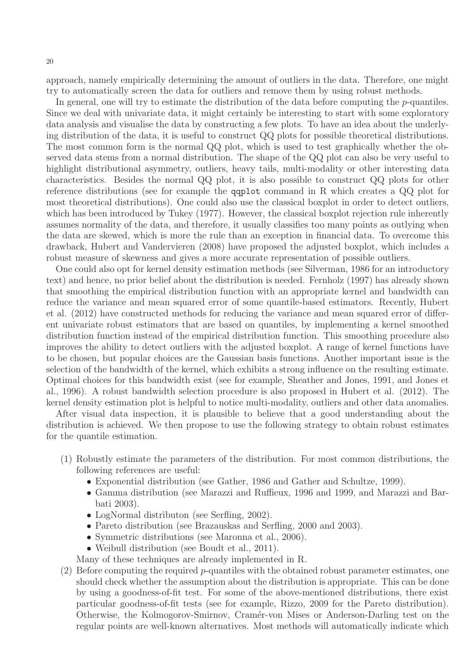approach, namely empirically determining the amount of outliers in the data. Therefore, one might try to automatically screen the data for outliers and remove them by using robust methods.

In general, one will try to estimate the distribution of the data before computing the *p*-quantiles. Since we deal with univariate data, it might certainly be interesting to start with some exploratory data analysis and visualise the data by constructing a few plots. To have an idea about the underlying distribution of the data, it is useful to construct QQ plots for possible theoretical distributions. The most common form is the normal QQ plot, which is used to test graphically whether the observed data stems from a normal distribution. The shape of the QQ plot can also be very useful to highlight distributional asymmetry, outliers, heavy tails, multi-modality or other interesting data characteristics. Besides the normal QQ plot, it is also possible to construct QQ plots for other reference distributions (see for example the qqplot command in R which creates a QQ plot for most theoretical distributions). One could also use the classical boxplot in order to detect outliers, which has been introduced by Tukey (1977). However, the classical boxplot rejection rule inherently assumes normality of the data, and therefore, it usually classifies too many points as outlying when the data are skewed, which is more the rule than an exception in financial data. To overcome this drawback, Hubert and Vandervieren (2008) have proposed the adjusted boxplot, which includes a robust measure of skewness and gives a more accurate representation of possible outliers.

One could also opt for kernel density estimation methods (see Silverman, 1986 for an introductory text) and hence, no prior belief about the distribution is needed. Fernholz (1997) has already shown that smoothing the empirical distribution function with an appropriate kernel and bandwidth can reduce the variance and mean squared error of some quantile-based estimators. Recently, Hubert et al. (2012) have constructed methods for reducing the variance and mean squared error of different univariate robust estimators that are based on quantiles, by implementing a kernel smoothed distribution function instead of the empirical distribution function. This smoothing procedure also improves the ability to detect outliers with the adjusted boxplot. A range of kernel functions have to be chosen, but popular choices are the Gaussian basis functions. Another important issue is the selection of the bandwidth of the kernel, which exhibits a strong influence on the resulting estimate. Optimal choices for this bandwidth exist (see for example, Sheather and Jones, 1991, and Jones et al., 1996). A robust bandwidth selection procedure is also proposed in Hubert et al. (2012). The kernel density estimation plot is helpful to notice multi-modality, outliers and other data anomalies.

After visual data inspection, it is plausible to believe that a good understanding about the distribution is achieved. We then propose to use the following strategy to obtain robust estimates for the quantile estimation.

- (1) Robustly estimate the parameters of the distribution. For most common distributions, the following references are useful:
	- Exponential distribution (see Gather, 1986 and Gather and Schultze, 1999).
	- Gamma distribution (see Marazzi and Ruffieux, 1996 and 1999, and Marazzi and Barbati 2003).
	- LogNormal distributon (see Serfling, 2002).
	- Pareto distribution (see Brazauskas and Serfling, 2000 and 2003).
	- Symmetric distributions (see Maronna et al., 2006).
	- Weibull distribution (see Boudt et al., 2011).
	- Many of these techniques are already implemented in R.
- $(2)$  Before computing the required p-quantiles with the obtained robust parameter estimates, one should check whether the assumption about the distribution is appropriate. This can be done by using a goodness-of-fit test. For some of the above-mentioned distributions, there exist particular goodness-of-fit tests (see for example, Rizzo, 2009 for the Pareto distribution). Otherwise, the Kolmogorov-Smirnov, Cram´er-von Mises or Anderson-Darling test on the regular points are well-known alternatives. Most methods will automatically indicate which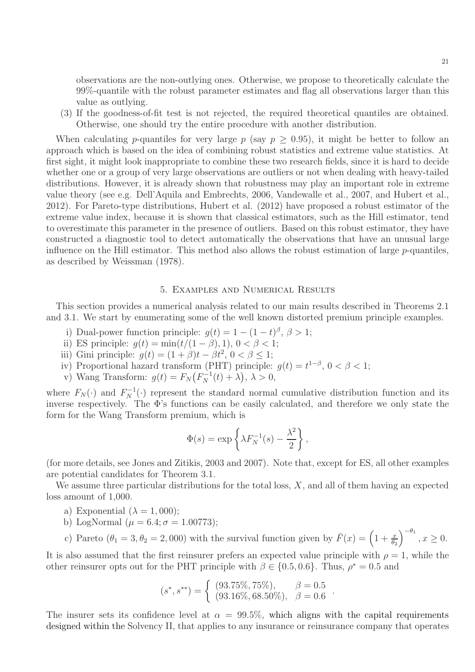observations are the non-outlying ones. Otherwise, we propose to theoretically calculate the 99%-quantile with the robust parameter estimates and flag all observations larger than this value as outlying.

(3) If the goodness-of-fit test is not rejected, the required theoretical quantiles are obtained. Otherwise, one should try the entire procedure with another distribution.

When calculating p-quantiles for very large p (say  $p \geq 0.95$ ), it might be better to follow an approach which is based on the idea of combining robust statistics and extreme value statistics. At first sight, it might look inappropriate to combine these two research fields, since it is hard to decide whether one or a group of very large observations are outliers or not when dealing with heavy-tailed distributions. However, it is already shown that robustness may play an important role in extreme value theory (see e.g. Dell'Aquila and Embrechts, 2006, Vandewalle et al., 2007, and Hubert et al., 2012). For Pareto-type distributions, Hubert et al. (2012) have proposed a robust estimator of the extreme value index, because it is shown that classical estimators, such as the Hill estimator, tend to overestimate this parameter in the presence of outliers. Based on this robust estimator, they have constructed a diagnostic tool to detect automatically the observations that have an unusual large influence on the Hill estimator. This method also allows the robust estimation of large  $p$ -quantiles, as described by Weissman (1978).

#### 5. Examples and Numerical Results

This section provides a numerical analysis related to our main results described in Theorems 2.1 and 3.1. We start by enumerating some of the well known distorted premium principle examples.

- i) Dual-power function principle:  $g(t) = 1 (1 t)^{\beta}, \beta > 1;$
- ii) ES principle:  $g(t) = \min(t/(1 \beta), 1), 0 < \beta < 1;$
- iii) Gini principle:  $g(t) = (1 + \beta)t \beta t^2$ ,  $0 < \beta \le 1$ ;
- iv) Proportional hazard transform (PHT) principle:  $g(t) = t^{1-\beta}, 0 < \beta < 1$ ;
- v) Wang Transform:  $g(t) = F_N(F_N^{-1}(t) + \lambda), \lambda > 0,$

where  $F_N(\cdot)$  and  $F_N^{-1}(\cdot)$  represent the standard normal cumulative distribution function and its inverse respectively. The Φ's functions can be easily calculated, and therefore we only state the form for the Wang Transform premium, which is

$$
\Phi(s) = \exp\left\{\lambda F_N^{-1}(s) - \frac{\lambda^2}{2}\right\},\,
$$

(for more details, see Jones and Zitikis, 2003 and 2007). Note that, except for ES, all other examples are potential candidates for Theorem 3.1.

We assume three particular distributions for the total loss,  $X$ , and all of them having an expected loss amount of 1,000.

- a) Exponential  $(\lambda = 1,000)$ ;
- b) LogNormal ( $\mu = 6.4; \sigma = 1.00773$ );
- c) Pareto  $(\theta_1 = 3, \theta_2 = 2,000)$  with the survival function given by  $\bar{F}(x) = \left(1 + \frac{x}{\theta_2}\right)^{-\theta_1}, x \ge 0.$

.

It is also assumed that the first reinsurer prefers an expected value principle with  $\rho = 1$ , while the other reinsurer opts out for the PHT principle with  $\beta \in \{0.5, 0.6\}$ . Thus,  $\rho^* = 0.5$  and

$$
(s^*, s^{**}) = \begin{cases} (93.75\%, 75\%), & \beta = 0.5 \\ (93.16\%, 68.50\%), & \beta = 0.6 \end{cases}
$$

The insurer sets its confidence level at  $\alpha = 99.5\%$ , which aligns with the capital requirements designed within the Solvency II, that applies to any insurance or reinsurance company that operates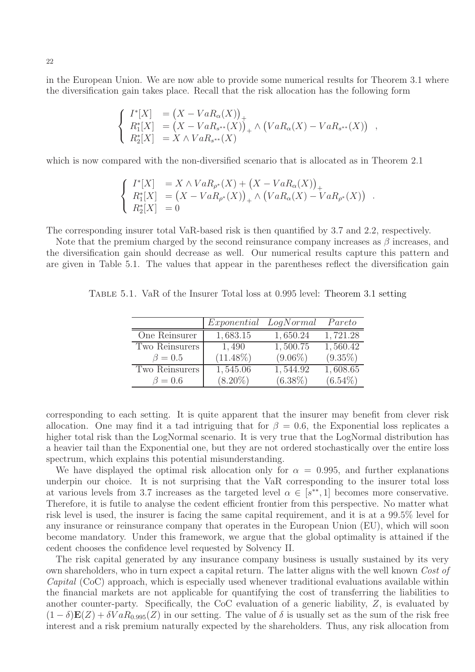in the European Union. We are now able to provide some numerical results for Theorem 3.1 where the diversification gain takes place. Recall that the risk allocation has the following form

$$
\begin{cases}\nI^*[X] &= (X - VaR_{\alpha}(X))_+ \\
R_1^*[X] &= (X - VaR_{s^{**}}(X))_+ \\
R_2^*[X] &= X \wedge VaR_{s^{**}}(X)\n\end{cases} \wedge (VaR_{\alpha}(X) - VaR_{s^{**}}(X))
$$

,

which is now compared with the non-diversified scenario that is allocated as in Theorem 2.1

$$
\begin{cases}\nI^*[X] &= X \wedge VaR_{\rho^*}(X) + (X - VaR_{\alpha}(X))_+ \\
R_1^*[X] &= (X - VaR_{\rho^*}(X))_+ \wedge (VaR_{\alpha}(X) - VaR_{\rho^*}(X))_+ \\
R_2^*[X] &= 0\n\end{cases}.
$$

The corresponding insurer total VaR-based risk is then quantified by 3.7 and 2.2, respectively.

Note that the premium charged by the second reinsurance company increases as  $\beta$  increases, and the diversification gain should decrease as well. Our numerical results capture this pattern and are given in Table 5.1. The values that appear in the parentheses reflect the diversification gain

|                | <i>Exponential LogNormal</i> |            | Pareto     |
|----------------|------------------------------|------------|------------|
| One Reinsurer  | 1,683.15                     | 1,650.24   | 1,721.28   |
| Two Reinsurers | 1,490                        | 1,500.75   | 1,560.42   |
| $\beta=0.5$    | $(11.48\%)$                  | $(9.06\%)$ | $(9.35\%)$ |
| Two Reinsurers | 1,545.06                     | 1,544.92   | 1,608.65   |
| $\beta = 0.6$  | $(8.20\%)$                   | $(6.38\%)$ | $(6.54\%)$ |

Table 5.1. VaR of the Insurer Total loss at 0.995 level: Theorem 3.1 setting

corresponding to each setting. It is quite apparent that the insurer may benefit from clever risk allocation. One may find it a tad intriguing that for  $\beta = 0.6$ , the Exponential loss replicates a higher total risk than the LogNormal scenario. It is very true that the LogNormal distribution has a heavier tail than the Exponential one, but they are not ordered stochastically over the entire loss spectrum, which explains this potential misunderstanding.

We have displayed the optimal risk allocation only for  $\alpha = 0.995$ , and further explanations underpin our choice. It is not surprising that the VaR corresponding to the insurer total loss at various levels from 3.7 increases as the targeted level  $\alpha \in [s^{**}, 1]$  becomes more conservative. Therefore, it is futile to analyse the cedent efficient frontier from this perspective. No matter what risk level is used, the insurer is facing the same capital requirement, and it is at a 99.5% level for any insurance or reinsurance company that operates in the European Union (EU), which will soon become mandatory. Under this framework, we argue that the global optimality is attained if the cedent chooses the confidence level requested by Solvency II.

The risk capital generated by any insurance company business is usually sustained by its very own shareholders, who in turn expect a capital return. The latter aligns with the well known Cost of Capital (CoC) approach, which is especially used whenever traditional evaluations available within the financial markets are not applicable for quantifying the cost of transferring the liabilities to another counter-party. Specifically, the CoC evaluation of a generic liability, Z, is evaluated by  $(1 - \delta)E(Z) + \delta VaR_{0.995}(Z)$  in our setting. The value of  $\delta$  is usually set as the sum of the risk free interest and a risk premium naturally expected by the shareholders. Thus, any risk allocation from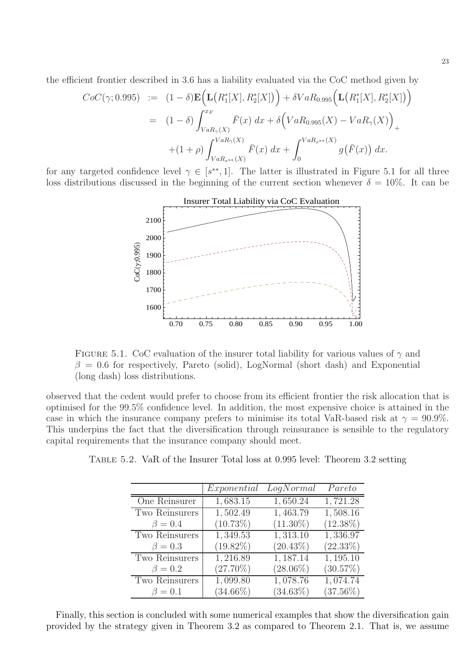the efficient frontier described in 3.6 has a liability evaluated via the CoC method given by

$$
CoC(\gamma; 0.995) := (1 - \delta) \mathbf{E} \Big( \mathbf{L} \big( R_1^*[X], R_2^*[X] \big) \Big) + \delta VaR_{0.995} \Big( \mathbf{L} \big( R_1^*[X], R_2^*[X] \big) \Big)
$$
  
=  $(1 - \delta) \int_{VaR_{\gamma}(X)}^{x_F} \bar{F}(x) dx + \delta \Big( VaR_{0.995}(X) - VaR_{\gamma}(X) \Big)_{+}$   
+  $(1 + \rho) \int_{VaR_{s^{**}}(X)}^{VaR_{\gamma}(X)} \bar{F}(x) dx + \int_0^{VaR_{s^{**}}(X)} g(\bar{F}(x)) dx.$ 

for any targeted confidence level  $\gamma \in [s^{**}, 1]$ . The latter is illustrated in Figure 5.1 for all three loss distributions discussed in the beginning of the current section whenever  $\delta = 10\%$ . It can be



FIGURE 5.1. CoC evaluation of the insurer total liability for various values of  $\gamma$  and  $\beta = 0.6$  for respectively, Pareto (solid), LogNormal (short dash) and Exponential (long dash) loss distributions.

observed that the cedent would prefer to choose from its efficient frontier the risk allocation that is optimised for the 99.5% confidence level. In addition, the most expensive choice is attained in the case in which the insurance company prefers to minimise its total VaR-based risk at  $\gamma = 90.9\%$ . This underpins the fact that the diversification through reinsurance is sensible to the regulatory capital requirements that the insurance company should meet.

|                | Exponential | LogNormal   | Pareto      |
|----------------|-------------|-------------|-------------|
| One Reinsurer  | 1,683.15    | 1,650.24    | 1,721.28    |
| Two Reinsurers | 1,502.49    | 1,463.79    | 1,508.16    |
| $\beta = 0.4$  | $(10.73\%)$ | $(11.30\%)$ | $(12.38\%)$ |
| Two Reinsurers | 1,349.53    | 1,313.10    | 1,336.97    |
| $\beta=0.3$    | $(19.82\%)$ | $(20.43\%)$ | $(22.33\%)$ |
| Two Reinsurers | 1,216.89    | 1,187.14    | 1,195.10    |
| $\beta=0.2$    | $(27.70\%)$ | $(28.06\%)$ | (30.57%)    |
| Two Reinsurers | 1,099.80    | 1,078.76    | 1,074.74    |
| $\beta=0.1$    | $(34.66\%)$ | $(34.63\%)$ | $(37.56\%)$ |

Table 5.2. VaR of the Insurer Total loss at 0.995 level: Theorem 3.2 setting

Finally, this section is concluded with some numerical examples that show the diversification gain provided by the strategy given in Theorem 3.2 as compared to Theorem 2.1. That is, we assume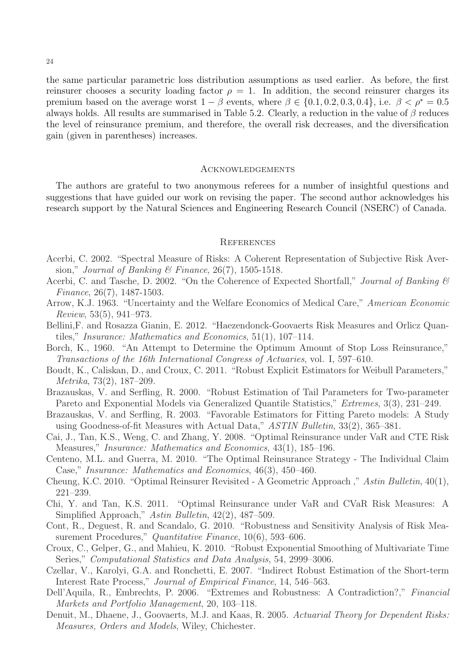the same particular parametric loss distribution assumptions as used earlier. As before, the first reinsurer chooses a security loading factor  $\rho = 1$ . In addition, the second reinsurer charges its premium based on the average worst  $1 - \beta$  events, where  $\beta \in \{0.1, 0.2, 0.3, 0.4\}$ , i.e.  $\beta < \rho^* = 0.5$ always holds. All results are summarised in Table 5.2. Clearly, a reduction in the value of  $\beta$  reduces the level of reinsurance premium, and therefore, the overall risk decreases, and the diversification gain (given in parentheses) increases.

#### **ACKNOWLEDGEMENTS**

The authors are grateful to two anonymous referees for a number of insightful questions and suggestions that have guided our work on revising the paper. The second author acknowledges his research support by the Natural Sciences and Engineering Research Council (NSERC) of Canada.

#### **REFERENCES**

- Acerbi, C. 2002. "Spectral Measure of Risks: A Coherent Representation of Subjective Risk Aversion," Journal of Banking & Finance, 26(7), 1505-1518.
- Acerbi, C. and Tasche, D. 2002. "On the Coherence of Expected Shortfall," Journal of Banking  $\mathcal{B}$ Finance, 26(7), 1487-1503.
- Arrow, K.J. 1963. "Uncertainty and the Welfare Economics of Medical Care," American Economic Review, 53(5), 941–973.
- Bellini,F. and Rosazza Gianin, E. 2012. "Haezendonck-Goovaerts Risk Measures and Orlicz Quantiles," Insurance: Mathematics and Economics, 51(1), 107–114.
- Borch, K., 1960. "An Attempt to Determine the Optimum Amount of Stop Loss Reinsurance," Transactions of the 16th International Congress of Actuaries, vol. I, 597–610.
- Boudt, K., Caliskan, D., and Croux, C. 2011. "Robust Explicit Estimators for Weibull Parameters," Metrika, 73(2), 187–209.
- Brazauskas, V. and Serfling, R. 2000. "Robust Estimation of Tail Parameters for Two-parameter Pareto and Exponential Models via Generalized Quantile Statistics," Extremes, 3(3), 231–249.
- Brazauskas, V. and Serfling, R. 2003. "Favorable Estimators for Fitting Pareto models: A Study using Goodness-of-fit Measures with Actual Data," ASTIN Bulletin, 33(2), 365–381.
- Cai, J., Tan, K.S., Weng, C. and Zhang, Y. 2008. "Optimal Reinsurance under VaR and CTE Risk Measures," Insurance: Mathematics and Economics, 43(1), 185–196.
- Centeno, M.L. and Guerra, M. 2010. "The Optimal Reinsurance Strategy The Individual Claim Case," Insurance: Mathematics and Economics, 46(3), 450–460.
- Cheung, K.C. 2010. "Optimal Reinsurer Revisited A Geometric Approach ," Astin Bulletin, 40(1), 221–239.
- Chi, Y. and Tan, K.S. 2011. "Optimal Reinsurance under VaR and CVaR Risk Measures: A Simplified Approach," Astin Bulletin, 42(2), 487–509.
- Cont, R., Deguest, R. and Scandalo, G. 2010. "Robustness and Sensitivity Analysis of Risk Measurement Procedures," Quantitative Finance, 10(6), 593-606.
- Croux, C., Gelper, G., and Mahieu, K. 2010. "Robust Exponential Smoothing of Multivariate Time Series," Computational Statistics and Data Analysis, 54, 2999–3006.
- Czellar, V., Karolyi, G.A. and Ronchetti, E. 2007. "Indirect Robust Estimation of the Short-term Interest Rate Process," Journal of Empirical Finance, 14, 546–563.
- Dell'Aquila, R., Embrechts, P. 2006. "Extremes and Robustness: A Contradiction?," Financial Markets and Portfolio Management, 20, 103–118.
- Denuit, M., Dhaene, J., Goovaerts, M.J. and Kaas, R. 2005. Actuarial Theory for Dependent Risks: Measures, Orders and Models, Wiley, Chichester.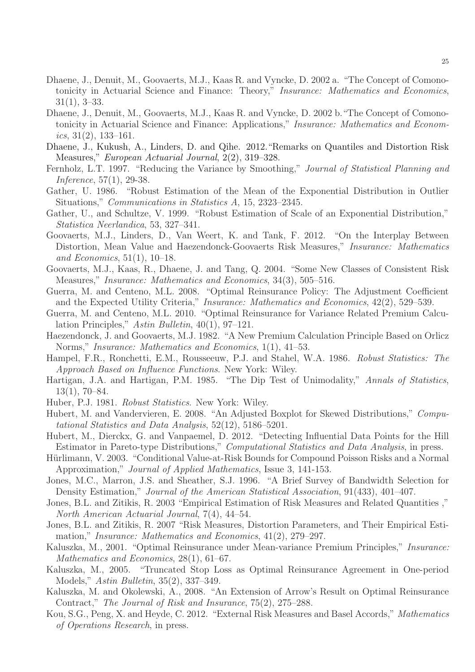- Dhaene, J., Denuit, M., Goovaerts, M.J., Kaas R. and Vyncke, D. 2002 a. "The Concept of Comonotonicity in Actuarial Science and Finance: Theory," Insurance: Mathematics and Economics, 31(1), 3–33.
- Dhaene, J., Denuit, M., Goovaerts, M.J., Kaas R. and Vyncke, D. 2002 b."The Concept of Comonotonicity in Actuarial Science and Finance: Applications," Insurance: Mathematics and Economics,  $31(2)$ ,  $133-161$ .
- Dhaene, J., Kukush, A., Linders, D. and Qihe. 2012."Remarks on Quantiles and Distortion Risk Measures," European Actuarial Journal, 2(2), 319–328.
- Fernholz, L.T. 1997. "Reducing the Variance by Smoothing," Journal of Statistical Planning and Inference, 57(1), 29-38.
- Gather, U. 1986. "Robust Estimation of the Mean of the Exponential Distribution in Outlier Situations," Communications in Statistics A, 15, 2323–2345.
- Gather, U., and Schultze, V. 1999. "Robust Estimation of Scale of an Exponential Distribution," Statistica Neerlandica, 53, 327–341.
- Goovaerts, M.J., Linders, D., Van Weert, K. and Tank, F. 2012. "On the Interplay Between Distortion, Mean Value and Haezendonck-Goovaerts Risk Measures," Insurance: Mathematics and Economics, 51(1), 10–18.
- Goovaerts, M.J., Kaas, R., Dhaene, J. and Tang, Q. 2004. "Some New Classes of Consistent Risk Measures," Insurance: Mathematics and Economics, 34(3), 505–516.
- Guerra, M. and Centeno, M.L. 2008. "Optimal Reinsurance Policy: The Adjustment Coefficient and the Expected Utility Criteria," Insurance: Mathematics and Economics, 42(2), 529–539.
- Guerra, M. and Centeno, M.L. 2010. "Optimal Reinsurance for Variance Related Premium Calculation Principles," Astin Bulletin, 40(1), 97–121.
- Haezendonck, J. and Goovaerts, M.J. 1982. "A New Premium Calculation Principle Based on Orlicz Norms," Insurance: Mathematics and Economics, 1(1), 41–53.
- Hampel, F.R., Ronchetti, E.M., Rousseeuw, P.J. and Stahel, W.A. 1986. Robust Statistics: The Approach Based on Influence Functions. New York: Wiley.
- Hartigan, J.A. and Hartigan, P.M. 1985. "The Dip Test of Unimodality," Annals of Statistics, 13(1), 70–84.
- Huber, P.J. 1981. Robust Statistics. New York: Wiley.
- Hubert, M. and Vandervieren, E. 2008. "An Adjusted Boxplot for Skewed Distributions," Computational Statistics and Data Analysis, 52(12), 5186–5201.
- Hubert, M., Dierckx, G. and Vanpaemel, D. 2012. "Detecting Influential Data Points for the Hill Estimator in Pareto-type Distributions," Computational Statistics and Data Analysis, in press.
- Hürlimann, V. 2003. "Conditional Value-at-Risk Bounds for Compound Poisson Risks and a Normal Approximation," Journal of Applied Mathematics, Issue 3, 141-153.
- Jones, M.C., Marron, J.S. and Sheather, S.J. 1996. "A Brief Survey of Bandwidth Selection for Density Estimation," Journal of the American Statistical Association, 91(433), 401–407.
- Jones, B.L. and Zitikis, R. 2003 "Empirical Estimation of Risk Measures and Related Quantities ," North American Actuarial Journal, 7(4), 44–54.
- Jones, B.L. and Zitikis, R. 2007 "Risk Measures, Distortion Parameters, and Their Empirical Estimation," Insurance: Mathematics and Economics, 41(2), 279–297.
- Kaluszka, M., 2001. "Optimal Reinsurance under Mean-variance Premium Principles," Insurance: Mathematics and Economics, 28(1), 61–67.
- Kaluszka, M., 2005. "Truncated Stop Loss as Optimal Reinsurance Agreement in One-period Models," Astin Bulletin, 35(2), 337–349.
- Kaluszka, M. and Okolewski, A., 2008. "An Extension of Arrow's Result on Optimal Reinsurance Contract," The Journal of Risk and Insurance, 75(2), 275–288.
- Kou, S.G., Peng, X. and Heyde, C. 2012. "External Risk Measures and Basel Accords," Mathematics of Operations Research, in press.